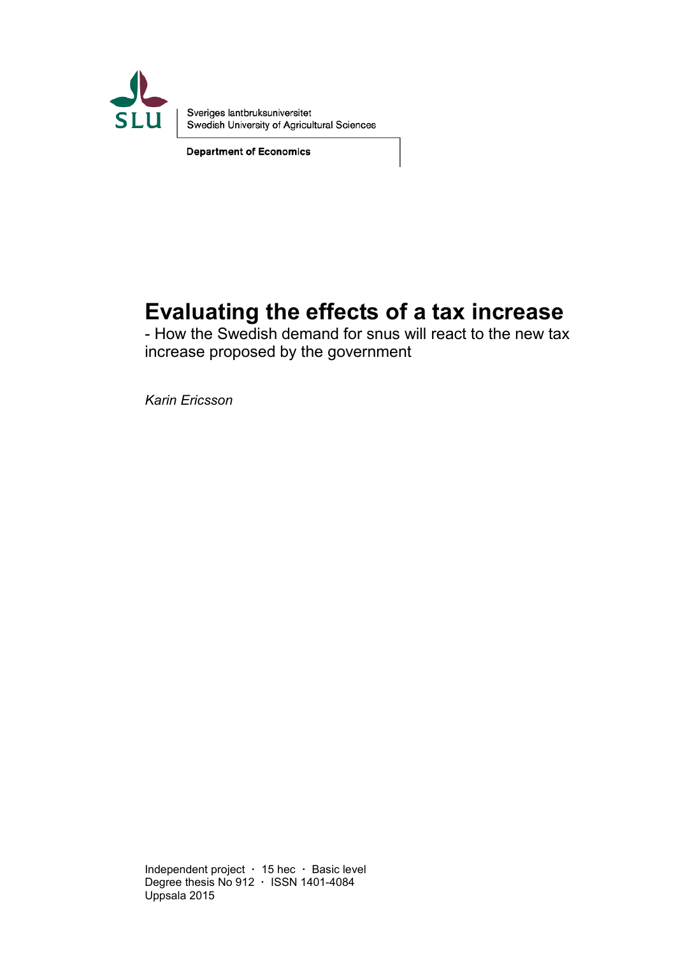

Sveriges lantbruksuniversitet Swedish University of Agricultural Sciences

**Department of Economics** 

# **Evaluating the effects of a tax increase**

- How the Swedish demand for snus will react to the new tax increase proposed by the government

*Karin Ericsson* 

Independent project **·** 15 hec **·** Basic level Degree thesis No 912 **·** ISSN 1401-4084 Uppsala 2015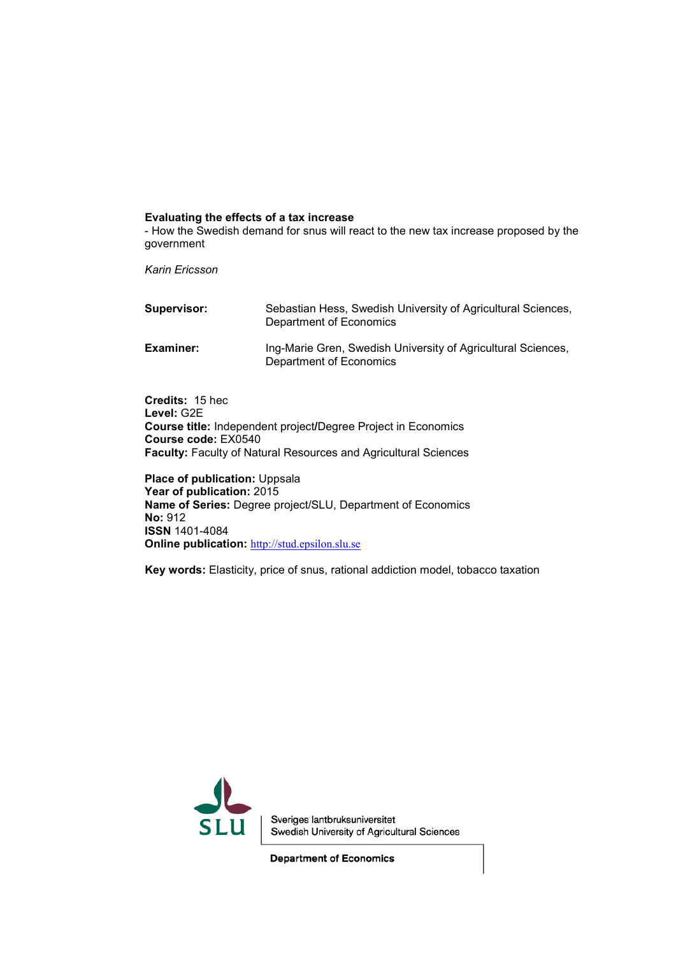#### **Evaluating the effects of a tax increase**

- How the Swedish demand for snus will react to the new tax increase proposed by the government

*Karin Ericsson*

| Supervisor: | Sebastian Hess, Swedish University of Agricultural Sciences,<br>Department of Economics |
|-------------|-----------------------------------------------------------------------------------------|
| Examiner:   | Ing-Marie Gren, Swedish University of Agricultural Sciences,<br>Department of Economics |

**Credits:** 15 hec **Level:** G2E **Course title:** Independent project**/**Degree Project in Economics **Course code:** EX0540 **Faculty:** Faculty of Natural Resources and Agricultural Sciences

**Place of publication: Uppsala Year of publication:** 2015 **Name of Series:** Degree project/SLU, Department of Economics **No:** 912 **ISSN** 1401-4084 **Online publication:** [http://stud.epsilon.slu.se](http://stud.epsilon.slu.se/)

**Key words:** Elasticity, price of snus, rational addiction model, tobacco taxation



Sveriges lantbruksuniversitet Swedish University of Agricultural Sciences

**Department of Economics**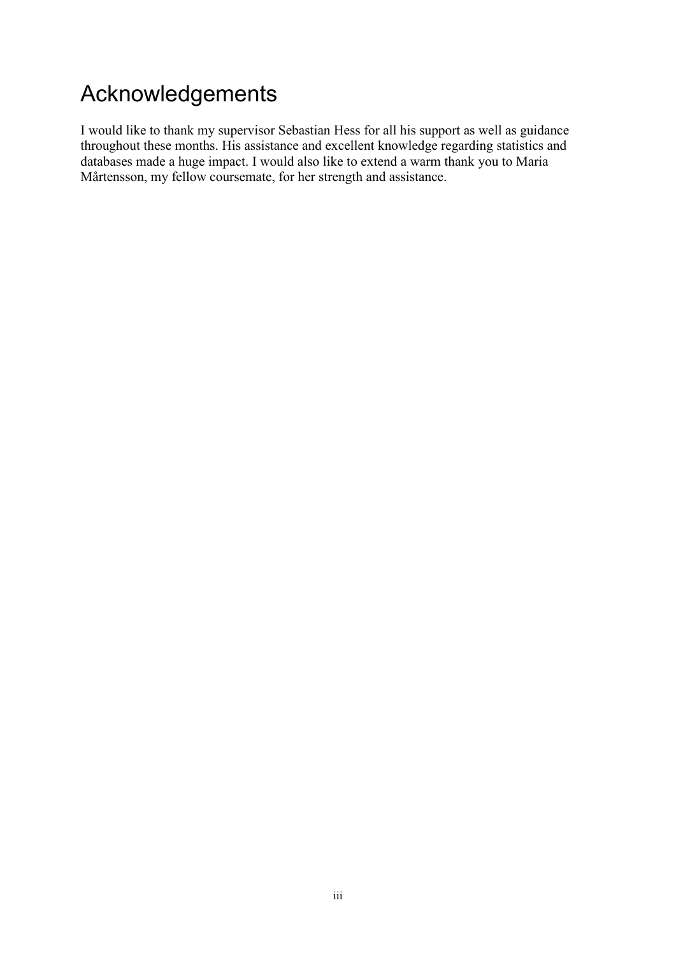# Acknowledgements

I would like to thank my supervisor Sebastian Hess for all his support as well as guidance throughout these months. His assistance and excellent knowledge regarding statistics and databases made a huge impact. I would also like to extend a warm thank you to Maria Mårtensson, my fellow coursemate, for her strength and assistance.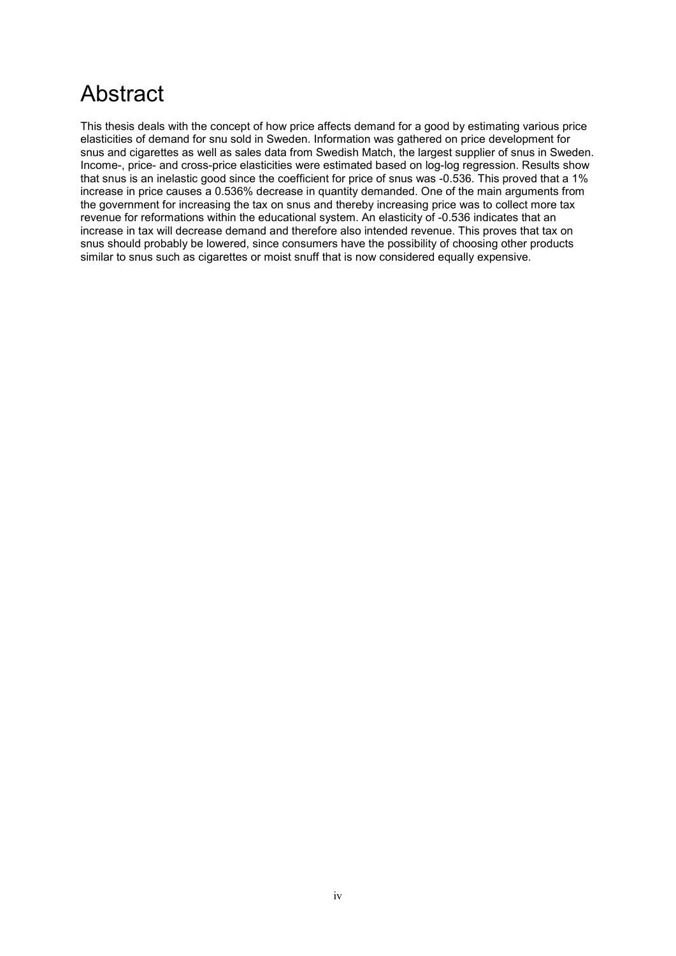# Abstract

This thesis deals with the concept of how price affects demand for a good by estimating various price elasticities of demand for snu sold in Sweden. Information was gathered on price development for snus and cigarettes as well as sales data from Swedish Match, the largest supplier of snus in Sweden. Income-, price- and cross-price elasticities were estimated based on log-log regression. Results show that snus is an inelastic good since the coefficient for price of snus was -0.536. This proved that a 1% increase in price causes a 0.536% decrease in quantity demanded. One of the main arguments from the government for increasing the tax on snus and thereby increasing price was to collect more tax revenue for reformations within the educational system. An elasticity of -0.536 indicates that an increase in tax will decrease demand and therefore also intended revenue. This proves that tax on snus should probably be lowered, since consumers have the possibility of choosing other products similar to snus such as cigarettes or moist snuff that is now considered equally expensive.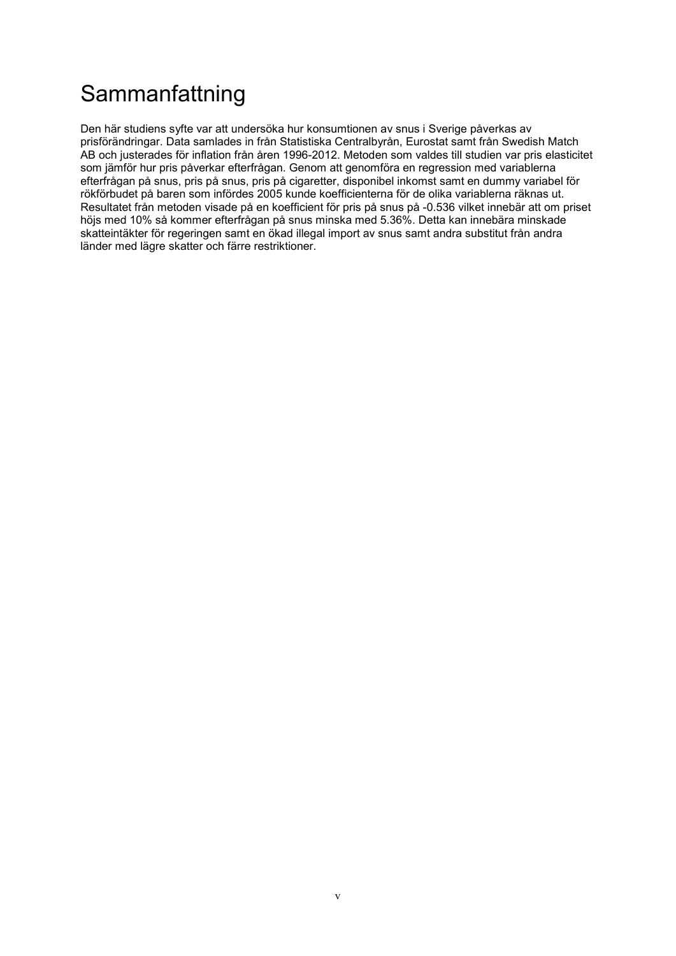# **Sammanfattning**

Den här studiens syfte var att undersöka hur konsumtionen av snus i Sverige påverkas av prisförändringar. Data samlades in från Statistiska Centralbyrån, Eurostat samt från Swedish Match AB och justerades för inflation från åren 1996-2012. Metoden som valdes till studien var pris elasticitet som jämför hur pris påverkar efterfrågan. Genom att genomföra en regression med variablerna efterfrågan på snus, pris på snus, pris på cigaretter, disponibel inkomst samt en dummy variabel för rökförbudet på baren som infördes 2005 kunde koefficienterna för de olika variablerna räknas ut. Resultatet från metoden visade på en koefficient för pris på snus på -0.536 vilket innebär att om priset höjs med 10% så kommer efterfrågan på snus minska med 5.36%. Detta kan innebära minskade skatteintäkter för regeringen samt en ökad illegal import av snus samt andra substitut från andra länder med lägre skatter och färre restriktioner.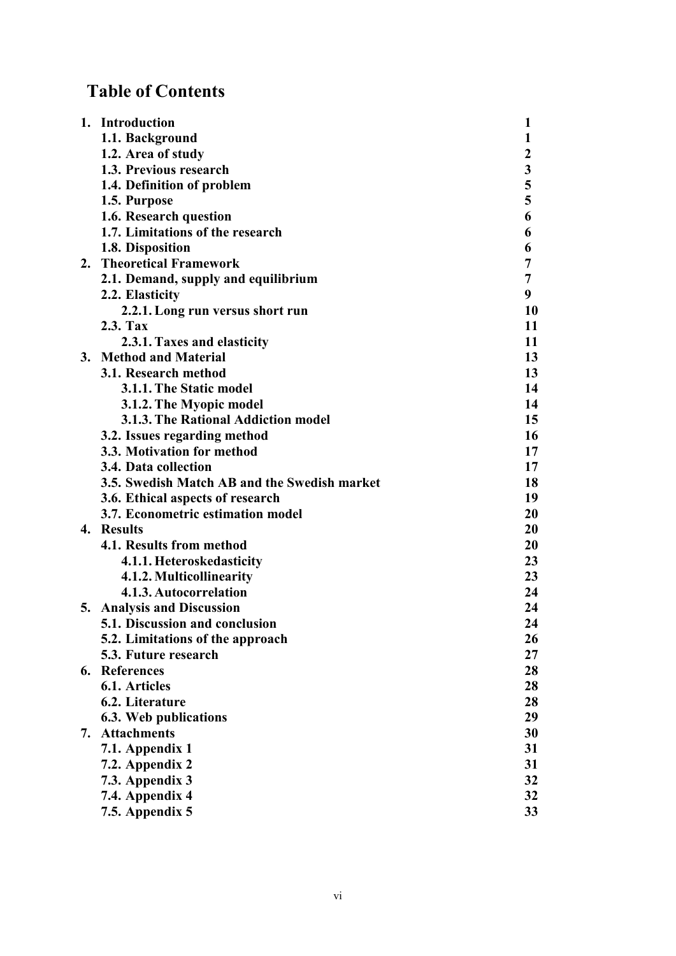# **Table of Contents**

|    | 1. Introduction                              | 1                |
|----|----------------------------------------------|------------------|
|    | 1.1. Background                              | 1                |
|    | 1.2. Area of study                           | $\boldsymbol{2}$ |
|    | 1.3. Previous research                       | $\mathbf{3}$     |
|    | 1.4. Definition of problem                   | 5                |
|    | 1.5. Purpose                                 | 5                |
|    | 1.6. Research question                       | 6                |
|    | 1.7. Limitations of the research             | 6                |
|    | 1.8. Disposition                             | 6                |
|    | 2. Theoretical Framework                     | 7                |
|    | 2.1. Demand, supply and equilibrium          | 7                |
|    | 2.2. Elasticity                              | 9                |
|    | 2.2.1. Long run versus short run             | 10               |
|    | 2.3. Tax                                     | 11               |
|    | 2.3.1. Taxes and elasticity                  | 11               |
|    | 3. Method and Material                       | 13               |
|    | 3.1. Research method                         | 13               |
|    | 3.1.1. The Static model                      | 14               |
|    | 3.1.2. The Myopic model                      | 14               |
|    | 3.1.3. The Rational Addiction model          | 15               |
|    | 3.2. Issues regarding method                 | 16               |
|    | 3.3. Motivation for method                   | 17               |
|    | 3.4. Data collection                         | 17               |
|    | 3.5. Swedish Match AB and the Swedish market | 18               |
|    | 3.6. Ethical aspects of research             | 19               |
|    | 3.7. Econometric estimation model            | 20               |
|    | 4. Results                                   | 20               |
|    | 4.1. Results from method                     | 20               |
|    | 4.1.1. Heteroskedasticity                    | 23               |
|    | 4.1.2. Multicollinearity                     | 23               |
|    | 4.1.3. Autocorrelation                       | 24               |
|    | 5. Analysis and Discussion                   | 24               |
|    | 5.1. Discussion and conclusion               | 24               |
|    | 5.2. Limitations of the approach             | 26               |
|    | 5.3. Future research                         | 27               |
|    | 6. References                                | 28               |
|    | 6.1. Articles                                | 28               |
|    | 6.2. Literature                              | 28               |
|    | 6.3. Web publications                        | 29               |
| 7. | <b>Attachments</b>                           | 30               |
|    | 7.1. Appendix 1                              | 31               |
|    | 7.2. Appendix 2                              | 31               |
|    | 7.3. Appendix 3                              | 32               |
|    | 7.4. Appendix 4                              | 32               |
|    | 7.5. Appendix 5                              | 33               |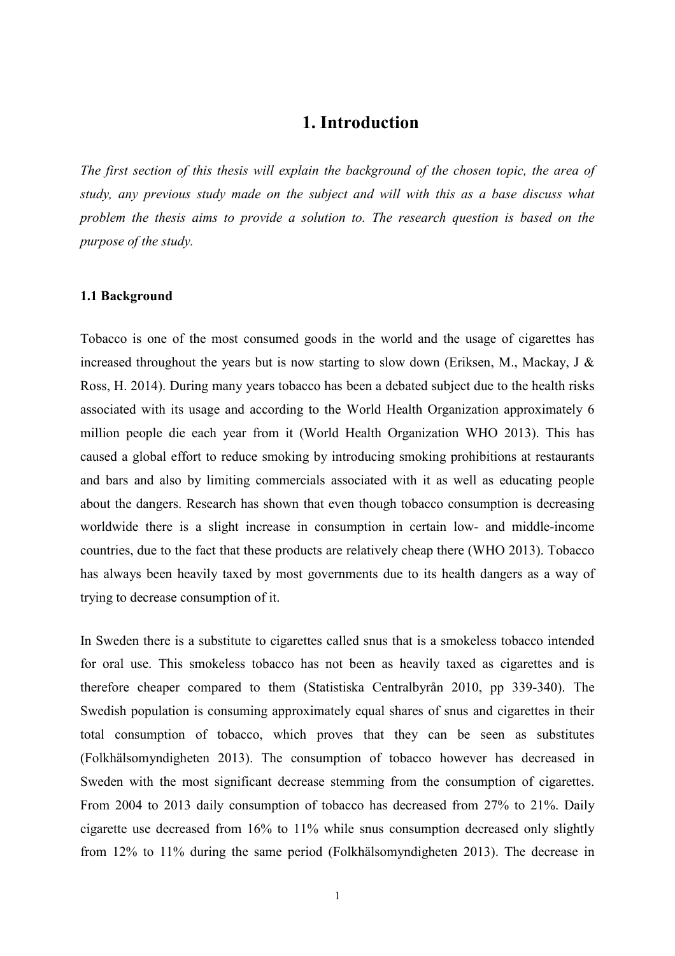# **1. Introduction**

*The first section of this thesis will explain the background of the chosen topic, the area of study, any previous study made on the subject and will with this as a base discuss what problem the thesis aims to provide a solution to. The research question is based on the purpose of the study.*

#### **1.1 Background**

Tobacco is one of the most consumed goods in the world and the usage of cigarettes has increased throughout the years but is now starting to slow down (Eriksen, M., Mackay, J  $\&$ Ross, H. 2014). During many years tobacco has been a debated subject due to the health risks associated with its usage and according to the World Health Organization approximately 6 million people die each year from it (World Health Organization WHO 2013). This has caused a global effort to reduce smoking by introducing smoking prohibitions at restaurants and bars and also by limiting commercials associated with it as well as educating people about the dangers. Research has shown that even though tobacco consumption is decreasing worldwide there is a slight increase in consumption in certain low- and middle-income countries, due to the fact that these products are relatively cheap there (WHO 2013). Tobacco has always been heavily taxed by most governments due to its health dangers as a way of trying to decrease consumption of it.

In Sweden there is a substitute to cigarettes called snus that is a smokeless tobacco intended for oral use. This smokeless tobacco has not been as heavily taxed as cigarettes and is therefore cheaper compared to them (Statistiska Centralbyrån 2010, pp 339-340). The Swedish population is consuming approximately equal shares of snus and cigarettes in their total consumption of tobacco, which proves that they can be seen as substitutes (Folkhälsomyndigheten 2013). The consumption of tobacco however has decreased in Sweden with the most significant decrease stemming from the consumption of cigarettes. From 2004 to 2013 daily consumption of tobacco has decreased from 27% to 21%. Daily cigarette use decreased from 16% to 11% while snus consumption decreased only slightly from 12% to 11% during the same period (Folkhälsomyndigheten 2013). The decrease in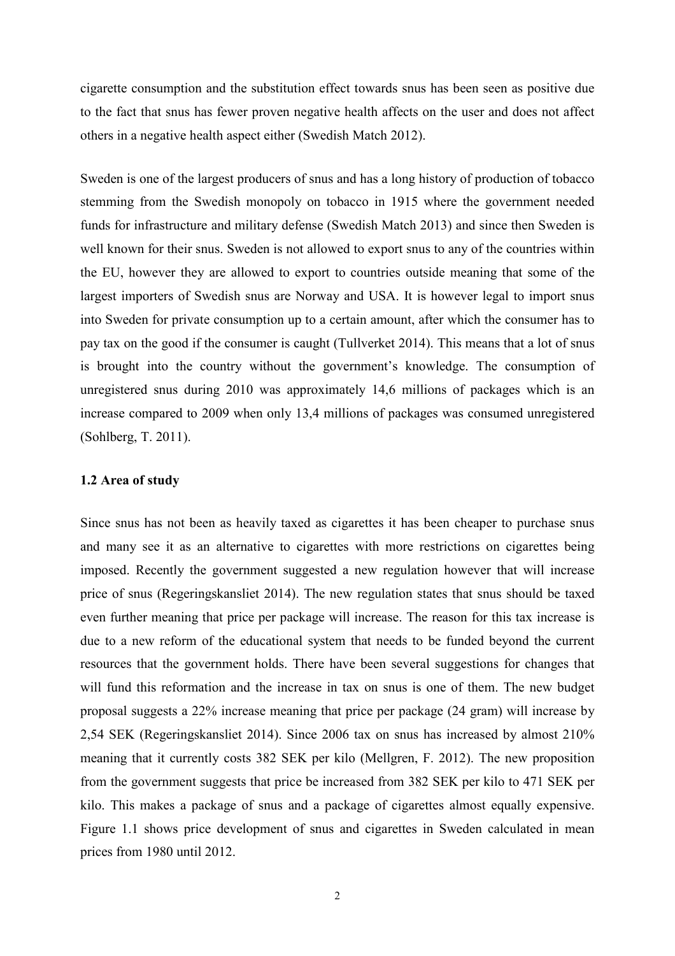cigarette consumption and the substitution effect towards snus has been seen as positive due to the fact that snus has fewer proven negative health affects on the user and does not affect others in a negative health aspect either (Swedish Match 2012).

Sweden is one of the largest producers of snus and has a long history of production of tobacco stemming from the Swedish monopoly on tobacco in 1915 where the government needed funds for infrastructure and military defense (Swedish Match 2013) and since then Sweden is well known for their snus. Sweden is not allowed to export snus to any of the countries within the EU, however they are allowed to export to countries outside meaning that some of the largest importers of Swedish snus are Norway and USA. It is however legal to import snus into Sweden for private consumption up to a certain amount, after which the consumer has to pay tax on the good if the consumer is caught (Tullverket 2014). This means that a lot of snus is brought into the country without the government's knowledge. The consumption of unregistered snus during 2010 was approximately 14,6 millions of packages which is an increase compared to 2009 when only 13,4 millions of packages was consumed unregistered (Sohlberg, T. 2011).

#### **1.2 Area of study**

Since snus has not been as heavily taxed as cigarettes it has been cheaper to purchase snus and many see it as an alternative to cigarettes with more restrictions on cigarettes being imposed. Recently the government suggested a new regulation however that will increase price of snus (Regeringskansliet 2014). The new regulation states that snus should be taxed even further meaning that price per package will increase. The reason for this tax increase is due to a new reform of the educational system that needs to be funded beyond the current resources that the government holds. There have been several suggestions for changes that will fund this reformation and the increase in tax on snus is one of them. The new budget proposal suggests a 22% increase meaning that price per package (24 gram) will increase by 2,54 SEK (Regeringskansliet 2014). Since 2006 tax on snus has increased by almost 210% meaning that it currently costs 382 SEK per kilo (Mellgren, F. 2012). The new proposition from the government suggests that price be increased from 382 SEK per kilo to 471 SEK per kilo. This makes a package of snus and a package of cigarettes almost equally expensive. Figure 1.1 shows price development of snus and cigarettes in Sweden calculated in mean prices from 1980 until 2012.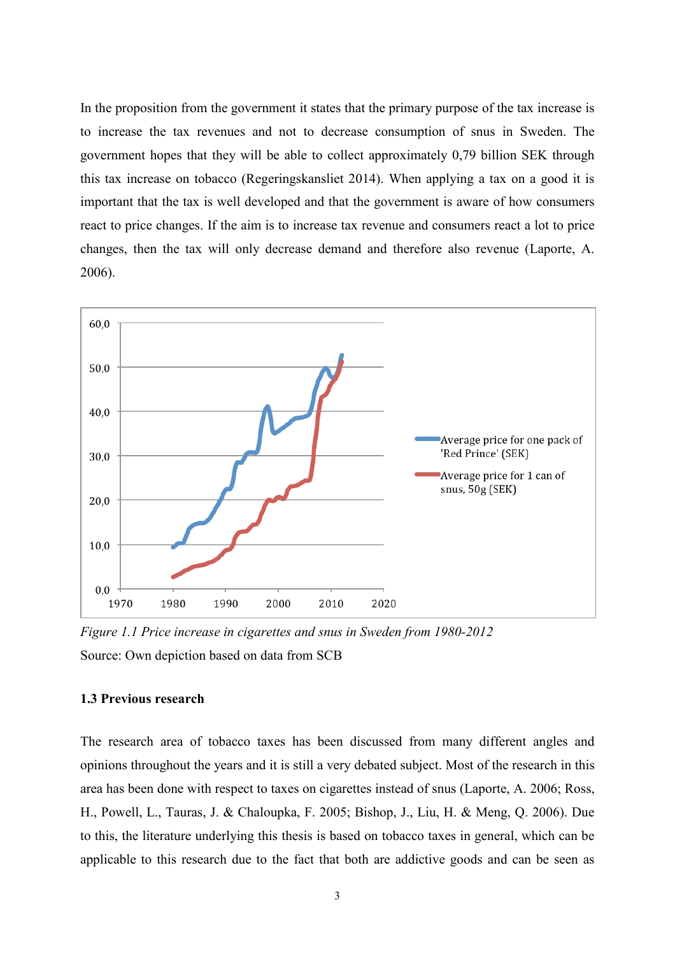In the proposition from the government it states that the primary purpose of the tax increase is to increase the tax revenues and not to decrease consumption of snus in Sweden. The government hopes that they will be able to collect approximately 0,79 billion SEK through this tax increase on tobacco (Regeringskansliet 2014). When applying a tax on a good it is important that the tax is well developed and that the government is aware of how consumers react to price changes. If the aim is to increase tax revenue and consumers react a lot to price changes, then the tax will only decrease demand and therefore also revenue (Laporte, A. 2006).



*Figure 1.1 Price increase in cigarettes and snus in Sweden from 1980-2012* Source: Own depiction based on data from SCB

#### **1.3 Previous research**

The research area of tobacco taxes has been discussed from many different angles and opinions throughout the years and it is still a very debated subject. Most of the research in this area has been done with respect to taxes on cigarettes instead of snus (Laporte, A. 2006; Ross, H., Powell, L., Tauras, J. & Chaloupka, F. 2005; Bishop, J., Liu, H. & Meng, Q. 2006). Due to this, the literature underlying this thesis is based on tobacco taxes in general, which can be applicable to this research due to the fact that both are addictive goods and can be seen as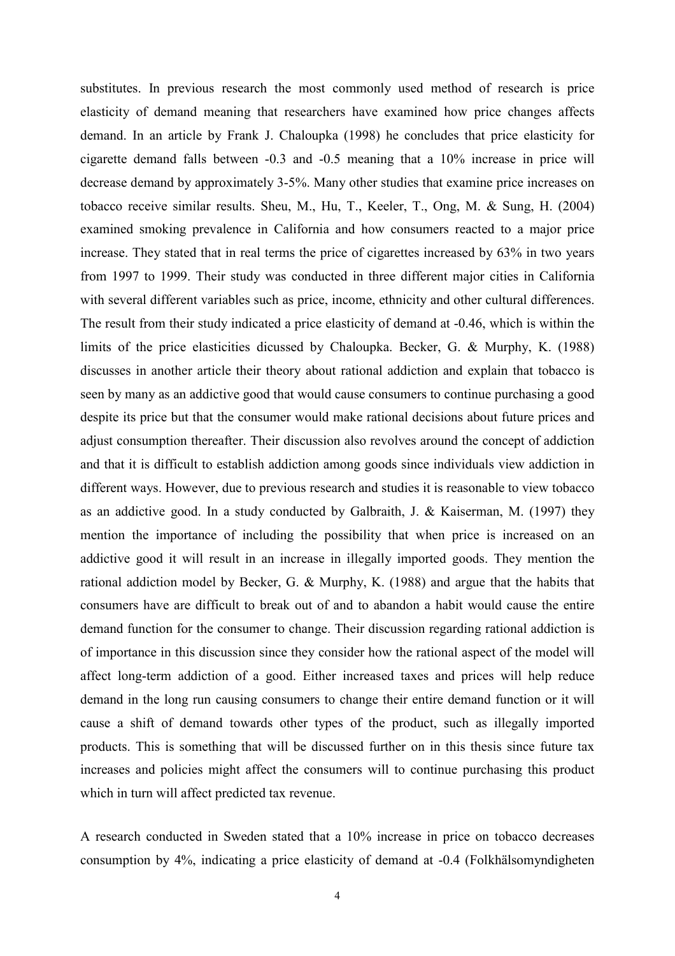substitutes. In previous research the most commonly used method of research is price elasticity of demand meaning that researchers have examined how price changes affects demand. In an article by Frank J. Chaloupka (1998) he concludes that price elasticity for cigarette demand falls between -0.3 and -0.5 meaning that a 10% increase in price will decrease demand by approximately 3-5%. Many other studies that examine price increases on tobacco receive similar results. Sheu, M., Hu, T., Keeler, T., Ong, M. & Sung, H. (2004) examined smoking prevalence in California and how consumers reacted to a major price increase. They stated that in real terms the price of cigarettes increased by 63% in two years from 1997 to 1999. Their study was conducted in three different major cities in California with several different variables such as price, income, ethnicity and other cultural differences. The result from their study indicated a price elasticity of demand at -0.46, which is within the limits of the price elasticities dicussed by Chaloupka. Becker, G. & Murphy, K. (1988) discusses in another article their theory about rational addiction and explain that tobacco is seen by many as an addictive good that would cause consumers to continue purchasing a good despite its price but that the consumer would make rational decisions about future prices and adjust consumption thereafter. Their discussion also revolves around the concept of addiction and that it is difficult to establish addiction among goods since individuals view addiction in different ways. However, due to previous research and studies it is reasonable to view tobacco as an addictive good. In a study conducted by Galbraith, J. & Kaiserman, M. (1997) they mention the importance of including the possibility that when price is increased on an addictive good it will result in an increase in illegally imported goods. They mention the rational addiction model by Becker, G. & Murphy, K. (1988) and argue that the habits that consumers have are difficult to break out of and to abandon a habit would cause the entire demand function for the consumer to change. Their discussion regarding rational addiction is of importance in this discussion since they consider how the rational aspect of the model will affect long-term addiction of a good. Either increased taxes and prices will help reduce demand in the long run causing consumers to change their entire demand function or it will cause a shift of demand towards other types of the product, such as illegally imported products. This is something that will be discussed further on in this thesis since future tax increases and policies might affect the consumers will to continue purchasing this product which in turn will affect predicted tax revenue.

A research conducted in Sweden stated that a 10% increase in price on tobacco decreases consumption by 4%, indicating a price elasticity of demand at -0.4 (Folkhälsomyndigheten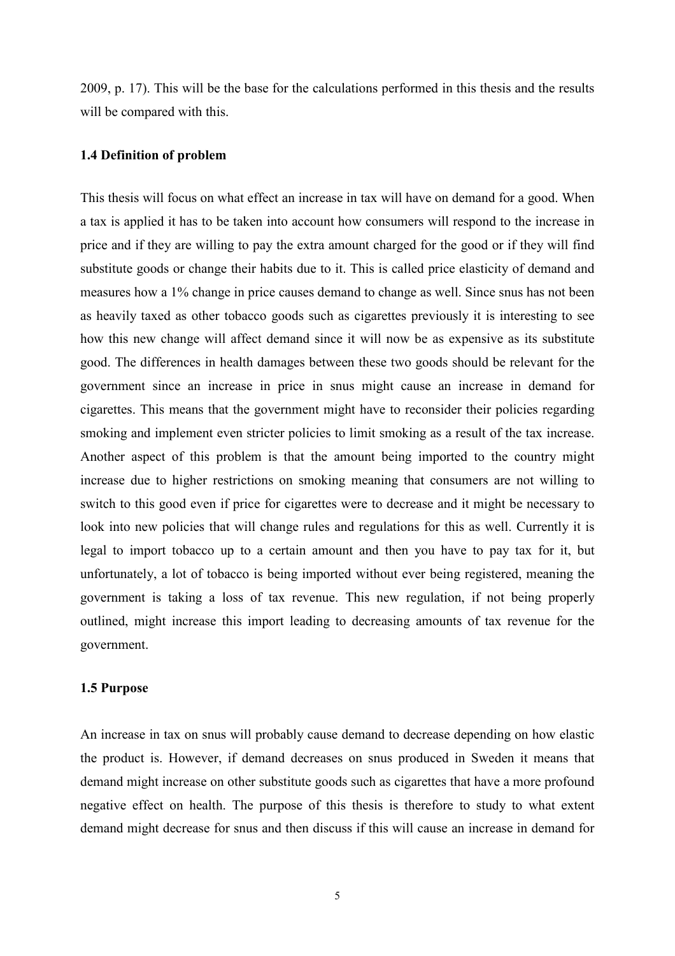2009, p. 17). This will be the base for the calculations performed in this thesis and the results will be compared with this.

#### **1.4 Definition of problem**

This thesis will focus on what effect an increase in tax will have on demand for a good. When a tax is applied it has to be taken into account how consumers will respond to the increase in price and if they are willing to pay the extra amount charged for the good or if they will find substitute goods or change their habits due to it. This is called price elasticity of demand and measures how a 1% change in price causes demand to change as well. Since snus has not been as heavily taxed as other tobacco goods such as cigarettes previously it is interesting to see how this new change will affect demand since it will now be as expensive as its substitute good. The differences in health damages between these two goods should be relevant for the government since an increase in price in snus might cause an increase in demand for cigarettes. This means that the government might have to reconsider their policies regarding smoking and implement even stricter policies to limit smoking as a result of the tax increase. Another aspect of this problem is that the amount being imported to the country might increase due to higher restrictions on smoking meaning that consumers are not willing to switch to this good even if price for cigarettes were to decrease and it might be necessary to look into new policies that will change rules and regulations for this as well. Currently it is legal to import tobacco up to a certain amount and then you have to pay tax for it, but unfortunately, a lot of tobacco is being imported without ever being registered, meaning the government is taking a loss of tax revenue. This new regulation, if not being properly outlined, might increase this import leading to decreasing amounts of tax revenue for the government.

#### **1.5 Purpose**

An increase in tax on snus will probably cause demand to decrease depending on how elastic the product is. However, if demand decreases on snus produced in Sweden it means that demand might increase on other substitute goods such as cigarettes that have a more profound negative effect on health. The purpose of this thesis is therefore to study to what extent demand might decrease for snus and then discuss if this will cause an increase in demand for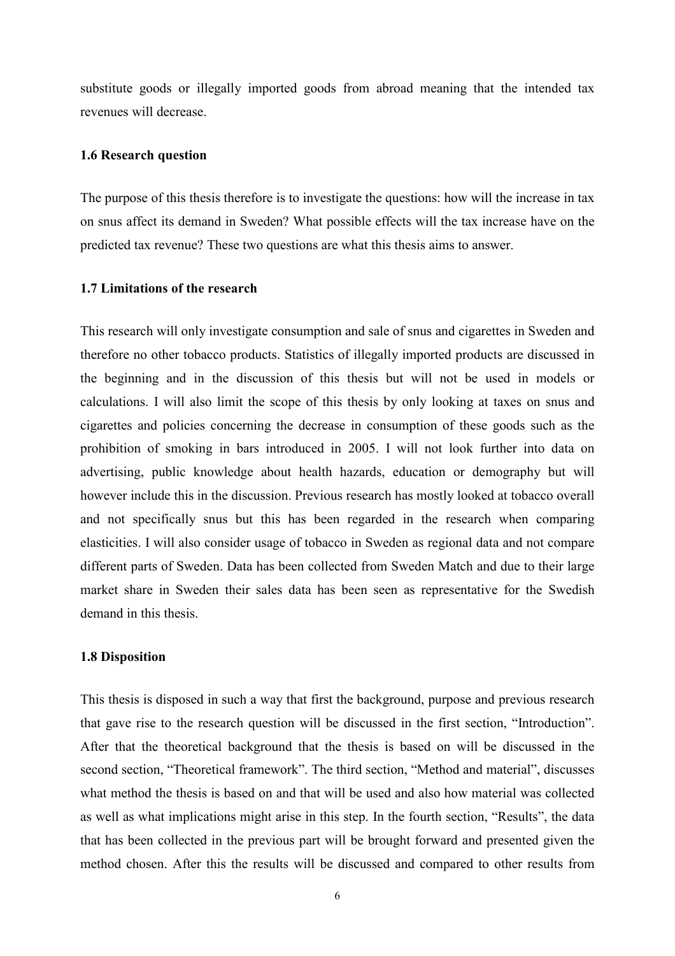substitute goods or illegally imported goods from abroad meaning that the intended tax revenues will decrease.

#### **1.6 Research question**

The purpose of this thesis therefore is to investigate the questions: how will the increase in tax on snus affect its demand in Sweden? What possible effects will the tax increase have on the predicted tax revenue? These two questions are what this thesis aims to answer.

#### **1.7 Limitations of the research**

This research will only investigate consumption and sale of snus and cigarettes in Sweden and therefore no other tobacco products. Statistics of illegally imported products are discussed in the beginning and in the discussion of this thesis but will not be used in models or calculations. I will also limit the scope of this thesis by only looking at taxes on snus and cigarettes and policies concerning the decrease in consumption of these goods such as the prohibition of smoking in bars introduced in 2005. I will not look further into data on advertising, public knowledge about health hazards, education or demography but will however include this in the discussion. Previous research has mostly looked at tobacco overall and not specifically snus but this has been regarded in the research when comparing elasticities. I will also consider usage of tobacco in Sweden as regional data and not compare different parts of Sweden. Data has been collected from Sweden Match and due to their large market share in Sweden their sales data has been seen as representative for the Swedish demand in this thesis.

#### **1.8 Disposition**

This thesis is disposed in such a way that first the background, purpose and previous research that gave rise to the research question will be discussed in the first section, "Introduction". After that the theoretical background that the thesis is based on will be discussed in the second section, "Theoretical framework". The third section, "Method and material", discusses what method the thesis is based on and that will be used and also how material was collected as well as what implications might arise in this step. In the fourth section, "Results", the data that has been collected in the previous part will be brought forward and presented given the method chosen. After this the results will be discussed and compared to other results from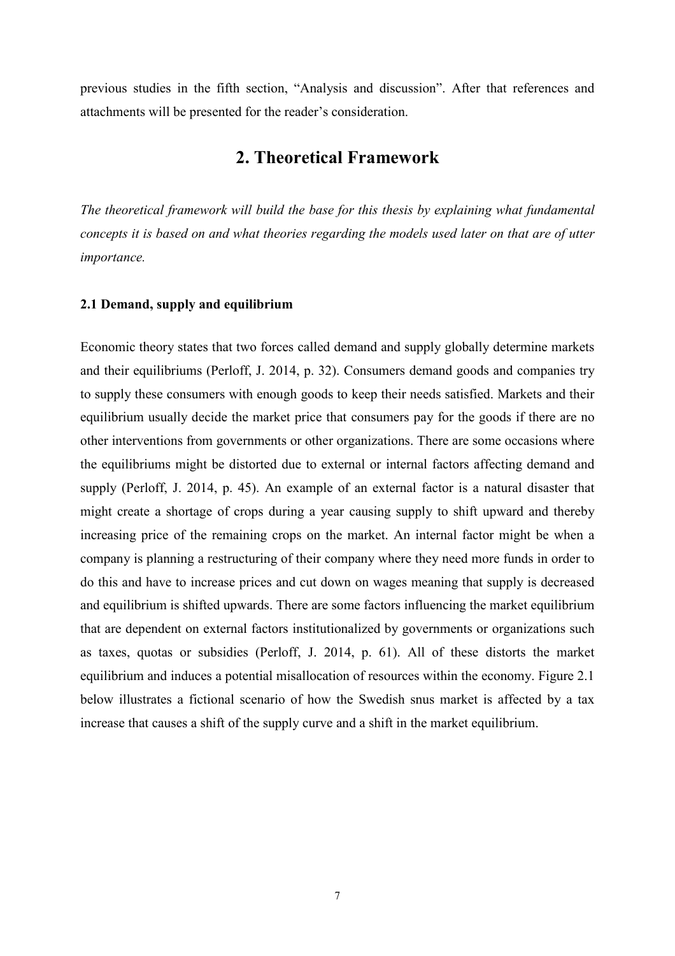previous studies in the fifth section, "Analysis and discussion". After that references and attachments will be presented for the reader's consideration.

# **2. Theoretical Framework**

*The theoretical framework will build the base for this thesis by explaining what fundamental concepts it is based on and what theories regarding the models used later on that are of utter importance.*

#### **2.1 Demand, supply and equilibrium**

Economic theory states that two forces called demand and supply globally determine markets and their equilibriums (Perloff, J. 2014, p. 32). Consumers demand goods and companies try to supply these consumers with enough goods to keep their needs satisfied. Markets and their equilibrium usually decide the market price that consumers pay for the goods if there are no other interventions from governments or other organizations. There are some occasions where the equilibriums might be distorted due to external or internal factors affecting demand and supply (Perloff, J. 2014, p. 45). An example of an external factor is a natural disaster that might create a shortage of crops during a year causing supply to shift upward and thereby increasing price of the remaining crops on the market. An internal factor might be when a company is planning a restructuring of their company where they need more funds in order to do this and have to increase prices and cut down on wages meaning that supply is decreased and equilibrium is shifted upwards. There are some factors influencing the market equilibrium that are dependent on external factors institutionalized by governments or organizations such as taxes, quotas or subsidies (Perloff, J. 2014, p. 61). All of these distorts the market equilibrium and induces a potential misallocation of resources within the economy. Figure 2.1 below illustrates a fictional scenario of how the Swedish snus market is affected by a tax increase that causes a shift of the supply curve and a shift in the market equilibrium.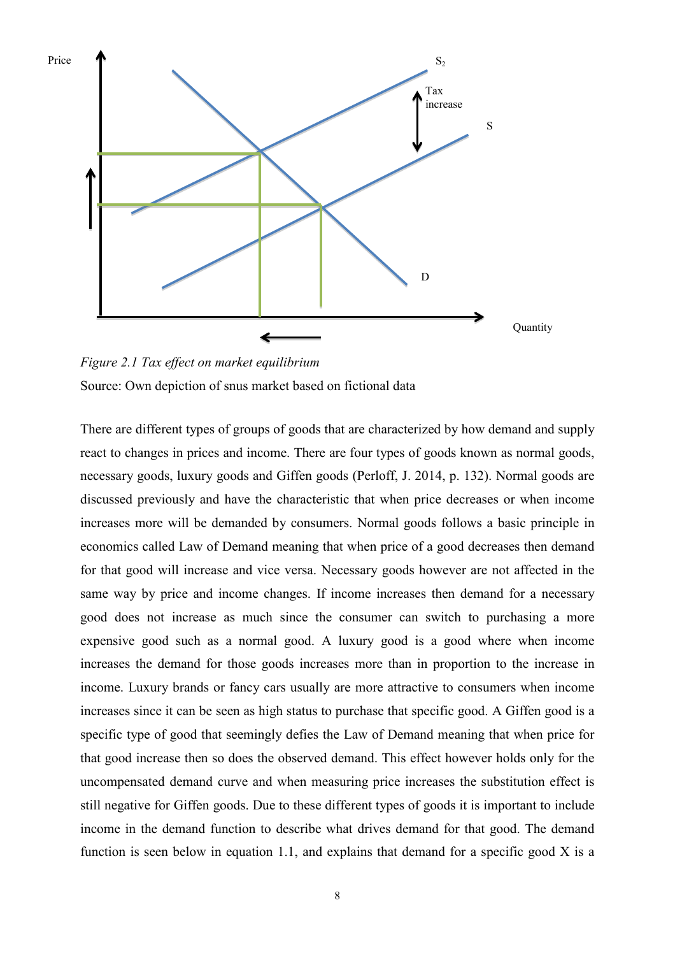

*Figure 2.1 Tax effect on market equilibrium*  Source: Own depiction of snus market based on fictional data

There are different types of groups of goods that are characterized by how demand and supply react to changes in prices and income. There are four types of goods known as normal goods, necessary goods, luxury goods and Giffen goods (Perloff, J. 2014, p. 132). Normal goods are discussed previously and have the characteristic that when price decreases or when income increases more will be demanded by consumers. Normal goods follows a basic principle in economics called Law of Demand meaning that when price of a good decreases then demand for that good will increase and vice versa. Necessary goods however are not affected in the same way by price and income changes. If income increases then demand for a necessary good does not increase as much since the consumer can switch to purchasing a more expensive good such as a normal good. A luxury good is a good where when income increases the demand for those goods increases more than in proportion to the increase in income. Luxury brands or fancy cars usually are more attractive to consumers when income increases since it can be seen as high status to purchase that specific good. A Giffen good is a specific type of good that seemingly defies the Law of Demand meaning that when price for that good increase then so does the observed demand. This effect however holds only for the uncompensated demand curve and when measuring price increases the substitution effect is still negative for Giffen goods. Due to these different types of goods it is important to include income in the demand function to describe what drives demand for that good. The demand function is seen below in equation 1.1, and explains that demand for a specific good X is a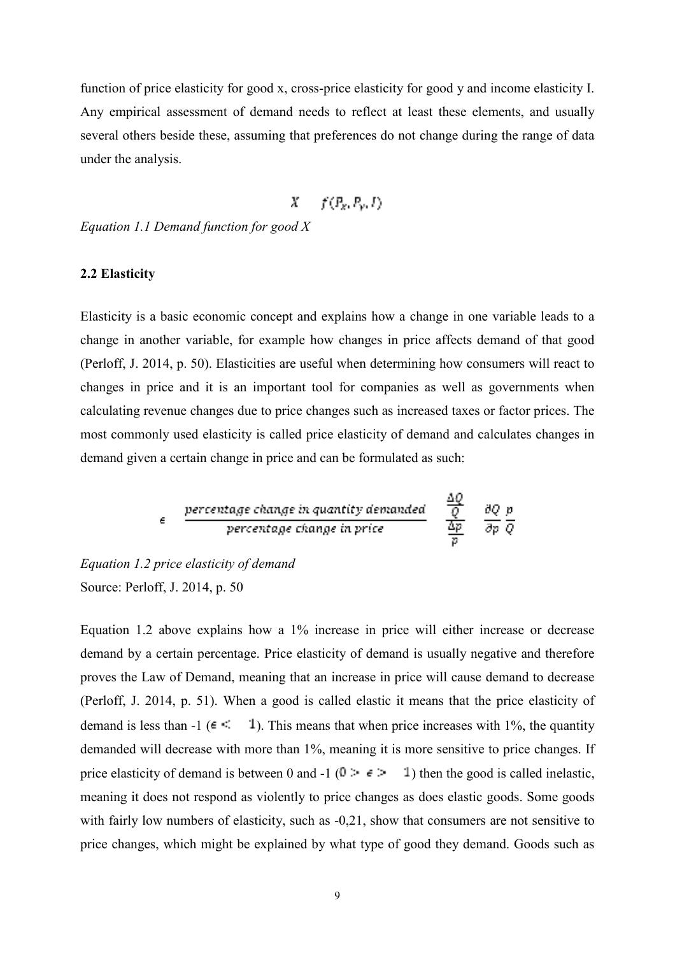function of price elasticity for good x, cross-price elasticity for good y and income elasticity I. Any empirical assessment of demand needs to reflect at least these elements, and usually several others beside these, assuming that preferences do not change during the range of data under the analysis.

$$
X = f(P_X, P_Y, I)
$$

*Equation 1.1 Demand function for good X*

#### **2.2 Elasticity**

Elasticity is a basic economic concept and explains how a change in one variable leads to a change in another variable, for example how changes in price affects demand of that good (Perloff, J. 2014, p. 50). Elasticities are useful when determining how consumers will react to changes in price and it is an important tool for companies as well as governments when calculating revenue changes due to price changes such as increased taxes or factor prices. The most commonly used elasticity is called price elasticity of demand and calculates changes in demand given a certain change in price and can be formulated as such:

$$
\epsilon = \frac{\text{percentage change in quantity demanded}}{\text{percentage change in price}} = \frac{\frac{\Delta Q}{Q}}{\frac{\Delta p}{p}} = \frac{\partial Q}{\partial p} \frac{p}{Q}
$$

أسراء

*Equation 1.2 price elasticity of demand* Source: Perloff, J. 2014, p. 50

Equation 1.2 above explains how a 1% increase in price will either increase or decrease demand by a certain percentage. Price elasticity of demand is usually negative and therefore proves the Law of Demand, meaning that an increase in price will cause demand to decrease (Perloff, J. 2014, p. 51). When a good is called elastic it means that the price elasticity of demand is less than  $-1$  ( $\epsilon \leq 1$ ). This means that when price increases with 1%, the quantity demanded will decrease with more than 1%, meaning it is more sensitive to price changes. If price elasticity of demand is between 0 and -1 ( $0 \div \epsilon$  ) then the good is called inelastic, meaning it does not respond as violently to price changes as does elastic goods. Some goods with fairly low numbers of elasticity, such as -0,21, show that consumers are not sensitive to price changes, which might be explained by what type of good they demand. Goods such as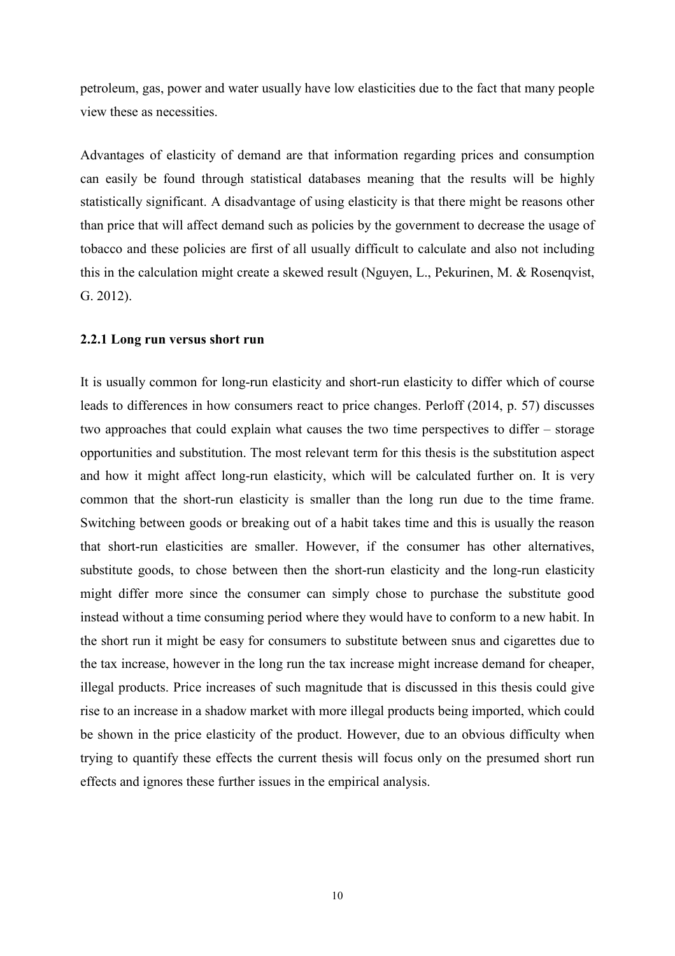petroleum, gas, power and water usually have low elasticities due to the fact that many people view these as necessities.

Advantages of elasticity of demand are that information regarding prices and consumption can easily be found through statistical databases meaning that the results will be highly statistically significant. A disadvantage of using elasticity is that there might be reasons other than price that will affect demand such as policies by the government to decrease the usage of tobacco and these policies are first of all usually difficult to calculate and also not including this in the calculation might create a skewed result (Nguyen, L., Pekurinen, M. & Rosenqvist, G. 2012).

#### **2.2.1 Long run versus short run**

It is usually common for long-run elasticity and short-run elasticity to differ which of course leads to differences in how consumers react to price changes. Perloff (2014, p. 57) discusses two approaches that could explain what causes the two time perspectives to differ – storage opportunities and substitution. The most relevant term for this thesis is the substitution aspect and how it might affect long-run elasticity, which will be calculated further on. It is very common that the short-run elasticity is smaller than the long run due to the time frame. Switching between goods or breaking out of a habit takes time and this is usually the reason that short-run elasticities are smaller. However, if the consumer has other alternatives, substitute goods, to chose between then the short-run elasticity and the long-run elasticity might differ more since the consumer can simply chose to purchase the substitute good instead without a time consuming period where they would have to conform to a new habit. In the short run it might be easy for consumers to substitute between snus and cigarettes due to the tax increase, however in the long run the tax increase might increase demand for cheaper, illegal products. Price increases of such magnitude that is discussed in this thesis could give rise to an increase in a shadow market with more illegal products being imported, which could be shown in the price elasticity of the product. However, due to an obvious difficulty when trying to quantify these effects the current thesis will focus only on the presumed short run effects and ignores these further issues in the empirical analysis.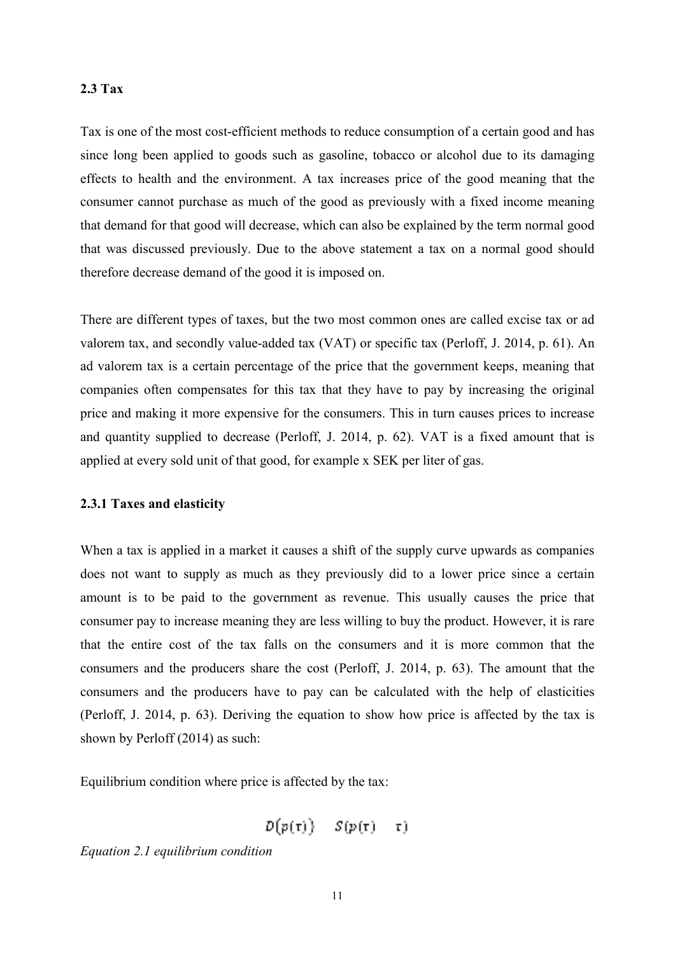#### **2.3 Tax**

Tax is one of the most cost-efficient methods to reduce consumption of a certain good and has since long been applied to goods such as gasoline, tobacco or alcohol due to its damaging effects to health and the environment. A tax increases price of the good meaning that the consumer cannot purchase as much of the good as previously with a fixed income meaning that demand for that good will decrease, which can also be explained by the term normal good that was discussed previously. Due to the above statement a tax on a normal good should therefore decrease demand of the good it is imposed on.

There are different types of taxes, but the two most common ones are called excise tax or ad valorem tax, and secondly value-added tax (VAT) or specific tax (Perloff, J. 2014, p. 61). An ad valorem tax is a certain percentage of the price that the government keeps, meaning that companies often compensates for this tax that they have to pay by increasing the original price and making it more expensive for the consumers. This in turn causes prices to increase and quantity supplied to decrease (Perloff, J. 2014, p. 62). VAT is a fixed amount that is applied at every sold unit of that good, for example x SEK per liter of gas.

#### **2.3.1 Taxes and elasticity**

When a tax is applied in a market it causes a shift of the supply curve upwards as companies does not want to supply as much as they previously did to a lower price since a certain amount is to be paid to the government as revenue. This usually causes the price that consumer pay to increase meaning they are less willing to buy the product. However, it is rare that the entire cost of the tax falls on the consumers and it is more common that the consumers and the producers share the cost (Perloff, J. 2014, p. 63). The amount that the consumers and the producers have to pay can be calculated with the help of elasticities (Perloff, J. 2014, p. 63). Deriving the equation to show how price is affected by the tax is shown by Perloff (2014) as such:

Equilibrium condition where price is affected by the tax:

$$
D(p(\tau)) = S(p(\tau) - \tau)
$$

*Equation 2.1 equilibrium condition*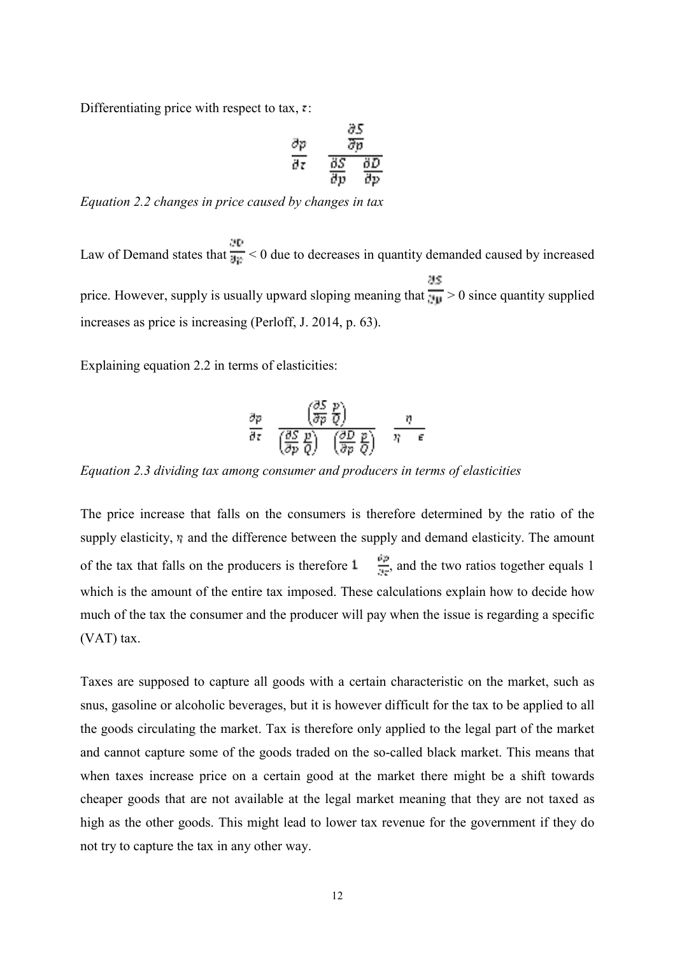Differentiating price with respect to tax,  $\cdot$ :

$$
\frac{\partial p}{\partial z} = \frac{\frac{\partial S}{\partial p}}{\frac{\partial S}{\partial p} - \frac{\partial D}{\partial p}}
$$

*Equation 2.2 changes in price caused by changes in tax*

Law of Demand states that  $\frac{\partial P}{\partial \rho} < 0$  due to decreases in quantity demanded caused by increased price. However, supply is usually upward sloping meaning that  $\frac{\partial S}{\partial \mu} > 0$  since quantity supplied increases as price is increasing (Perloff, J. 2014, p. 63).

Explaining equation 2.2 in terms of elasticities:

$$
\frac{\partial p}{\partial z} = \frac{\left(\frac{\partial S}{\partial p}\frac{p}{Q}\right)}{\left(\frac{\partial S}{\partial p}\frac{p}{Q}\right) - \left(\frac{\partial D}{\partial p}\frac{p}{Q}\right)} = \frac{\eta}{\eta - \epsilon}.
$$

*Equation 2.3 dividing tax among consumer and producers in terms of elasticities*

The price increase that falls on the consumers is therefore determined by the ratio of the supply elasticity,  $\eta$  and the difference between the supply and demand elasticity. The amount of the tax that falls on the producers is therefore  $1 - \frac{\partial p}{\partial x}$ , and the two ratios together equals 1 which is the amount of the entire tax imposed. These calculations explain how to decide how much of the tax the consumer and the producer will pay when the issue is regarding a specific (VAT) tax.

Taxes are supposed to capture all goods with a certain characteristic on the market, such as snus, gasoline or alcoholic beverages, but it is however difficult for the tax to be applied to all the goods circulating the market. Tax is therefore only applied to the legal part of the market and cannot capture some of the goods traded on the so-called black market. This means that when taxes increase price on a certain good at the market there might be a shift towards cheaper goods that are not available at the legal market meaning that they are not taxed as high as the other goods. This might lead to lower tax revenue for the government if they do not try to capture the tax in any other way.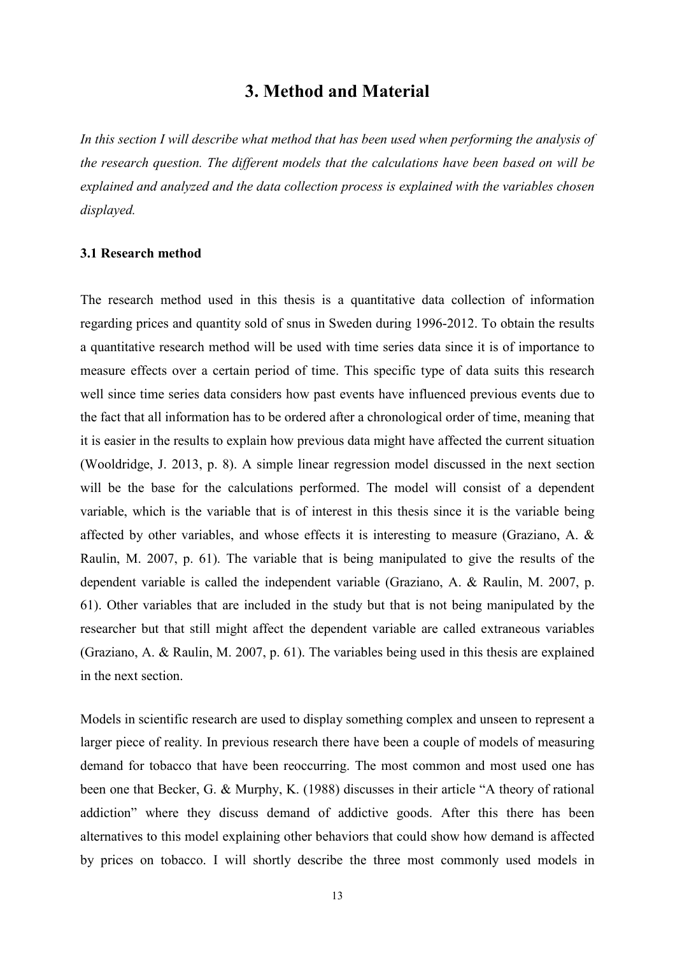## **3. Method and Material**

*In this section I will describe what method that has been used when performing the analysis of the research question. The different models that the calculations have been based on will be explained and analyzed and the data collection process is explained with the variables chosen displayed.*

#### **3.1 Research method**

The research method used in this thesis is a quantitative data collection of information regarding prices and quantity sold of snus in Sweden during 1996-2012. To obtain the results a quantitative research method will be used with time series data since it is of importance to measure effects over a certain period of time. This specific type of data suits this research well since time series data considers how past events have influenced previous events due to the fact that all information has to be ordered after a chronological order of time, meaning that it is easier in the results to explain how previous data might have affected the current situation (Wooldridge, J. 2013, p. 8). A simple linear regression model discussed in the next section will be the base for the calculations performed. The model will consist of a dependent variable, which is the variable that is of interest in this thesis since it is the variable being affected by other variables, and whose effects it is interesting to measure (Graziano, A. & Raulin, M. 2007, p. 61). The variable that is being manipulated to give the results of the dependent variable is called the independent variable (Graziano, A. & Raulin, M. 2007, p. 61). Other variables that are included in the study but that is not being manipulated by the researcher but that still might affect the dependent variable are called extraneous variables (Graziano, A. & Raulin, M. 2007, p. 61). The variables being used in this thesis are explained in the next section.

Models in scientific research are used to display something complex and unseen to represent a larger piece of reality. In previous research there have been a couple of models of measuring demand for tobacco that have been reoccurring. The most common and most used one has been one that Becker, G. & Murphy, K. (1988) discusses in their article "A theory of rational addiction" where they discuss demand of addictive goods. After this there has been alternatives to this model explaining other behaviors that could show how demand is affected by prices on tobacco. I will shortly describe the three most commonly used models in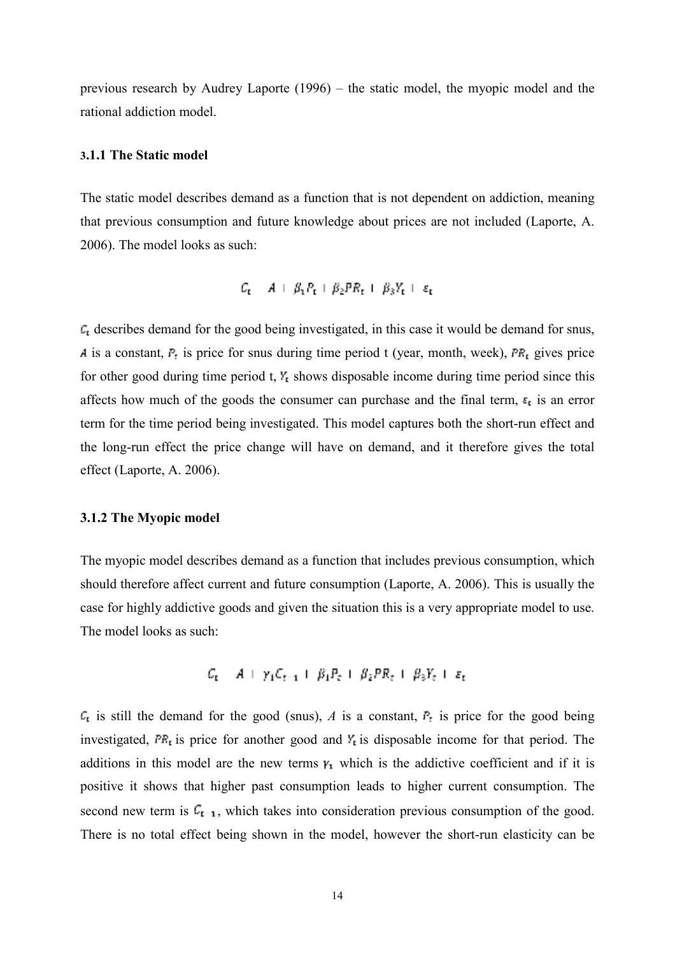previous research by Audrey Laporte (1996) – the static model, the myopic model and the rational addiction model.

#### **3.1.1 The Static model**

The static model describes demand as a function that is not dependent on addiction, meaning that previous consumption and future knowledge about prices are not included (Laporte, A. 2006). The model looks as such:

$$
C_{\mathbf{t}} = A + \beta_1 P_{\mathbf{t}} + \beta_2 P R_{\mathbf{t}} + \beta_3 Y_{\mathbf{t}} + \varepsilon_{\mathbf{t}}
$$

 $\mathcal{L}_{t}$  describes demand for the good being investigated, in this case it would be demand for snus, A is a constant,  $P_t$  is price for snus during time period t (year, month, week),  $PR_t$  gives price for other good during time period t,  $Y_t$  shows disposable income during time period since this affects how much of the goods the consumer can purchase and the final term,  $\epsilon_i$  is an error term for the time period being investigated. This model captures both the short-run effect and the long-run effect the price change will have on demand, and it therefore gives the total effect (Laporte, A. 2006).

#### **3.1.2 The Myopic model**

The myopic model describes demand as a function that includes previous consumption, which should therefore affect current and future consumption (Laporte, A. 2006). This is usually the case for highly addictive goods and given the situation this is a very appropriate model to use. The model looks as such:

$$
C_t = A + \gamma_1 C_{t-1} + \beta_1 P_t + \beta_2 PR_t + \beta_3 Y_t + \varepsilon_t
$$

 $\mathcal{C}_{\mathbf{t}}$  is still the demand for the good (snus), *A* is a constant,  $\mathcal{F}_{\mathbf{t}}$  is price for the good being investigated,  $\overline{PR}_t$  is price for another good and  $Y_t$  is disposable income for that period. The additions in this model are the new terms  $v_1$  which is the addictive coefficient and if it is positive it shows that higher past consumption leads to higher current consumption. The second new term is  $C_{t-1}$ , which takes into consideration previous consumption of the good. There is no total effect being shown in the model, however the short-run elasticity can be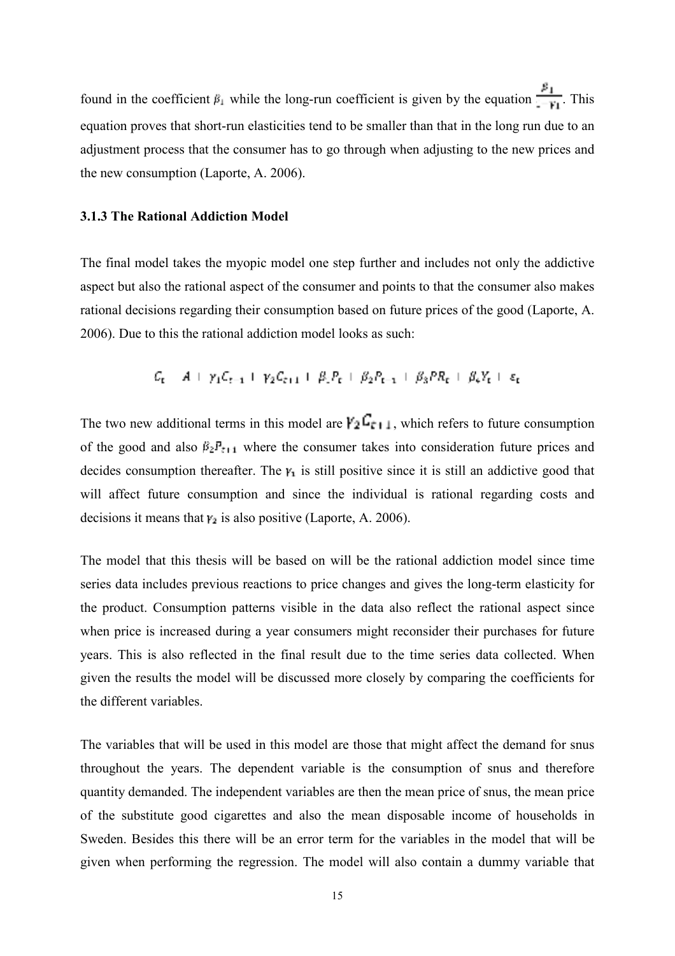found in the coefficient  $F_1$  while the long-run coefficient is given by the equation  $\frac{F_1}{F_1}$ . This equation proves that short-run elasticities tend to be smaller than that in the long run due to an adjustment process that the consumer has to go through when adjusting to the new prices and the new consumption (Laporte, A. 2006).

#### **3.1.3 The Rational Addiction Model**

The final model takes the myopic model one step further and includes not only the addictive aspect but also the rational aspect of the consumer and points to that the consumer also makes rational decisions regarding their consumption based on future prices of the good (Laporte, A. 2006). Due to this the rational addiction model looks as such:

$$
C_{t} = A + \gamma_{1}C_{t-1} + \gamma_{2}C_{t+1} + \beta_{1}P_{t} + \beta_{2}P_{t-1} + \beta_{3}PR_{t} + \beta_{4}Y_{t} + \varepsilon_{t}
$$

The two new additional terms in this model are  $\Gamma_2 \Gamma_{r+1}$ , which refers to future consumption of the good and also  $\beta_2 F_{t+1}$  where the consumer takes into consideration future prices and decides consumption thereafter. The  $y_1$  is still positive since it is still an addictive good that will affect future consumption and since the individual is rational regarding costs and decisions it means that  $v_2$  is also positive (Laporte, A. 2006).

The model that this thesis will be based on will be the rational addiction model since time series data includes previous reactions to price changes and gives the long-term elasticity for the product. Consumption patterns visible in the data also reflect the rational aspect since when price is increased during a year consumers might reconsider their purchases for future years. This is also reflected in the final result due to the time series data collected. When given the results the model will be discussed more closely by comparing the coefficients for the different variables.

The variables that will be used in this model are those that might affect the demand for snus throughout the years. The dependent variable is the consumption of snus and therefore quantity demanded. The independent variables are then the mean price of snus, the mean price of the substitute good cigarettes and also the mean disposable income of households in Sweden. Besides this there will be an error term for the variables in the model that will be given when performing the regression. The model will also contain a dummy variable that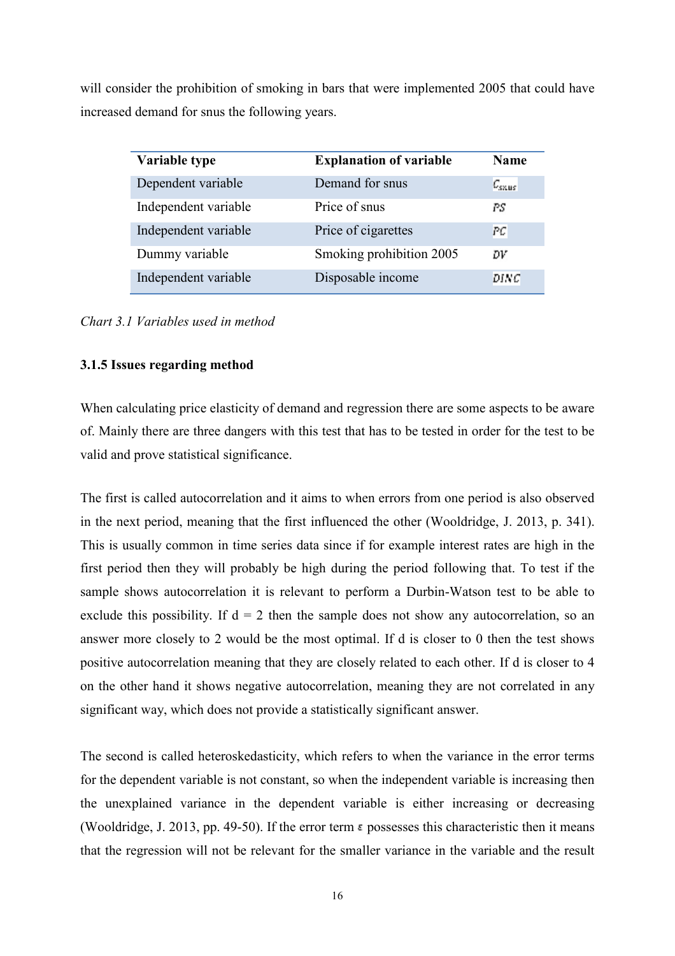will consider the prohibition of smoking in bars that were implemented 2005 that could have increased demand for snus the following years.

| Variable type        | <b>Explanation of variable</b> | <b>Name</b> |
|----------------------|--------------------------------|-------------|
| Dependent variable   | Demand for snus                | $c_{sus}$   |
| Independent variable | Price of snus                  | PS.         |
| Independent variable | Price of cigarettes            | PC          |
| Dummy variable       | Smoking prohibition 2005       | DV          |
| Independent variable | Disposable income              | <b>DINC</b> |

*Chart 3.1 Variables used in method*

### **3.1.5 Issues regarding method**

When calculating price elasticity of demand and regression there are some aspects to be aware of. Mainly there are three dangers with this test that has to be tested in order for the test to be valid and prove statistical significance.

The first is called autocorrelation and it aims to when errors from one period is also observed in the next period, meaning that the first influenced the other (Wooldridge, J. 2013, p. 341). This is usually common in time series data since if for example interest rates are high in the first period then they will probably be high during the period following that. To test if the sample shows autocorrelation it is relevant to perform a Durbin-Watson test to be able to exclude this possibility. If  $d = 2$  then the sample does not show any autocorrelation, so an answer more closely to 2 would be the most optimal. If d is closer to 0 then the test shows positive autocorrelation meaning that they are closely related to each other. If d is closer to 4 on the other hand it shows negative autocorrelation, meaning they are not correlated in any significant way, which does not provide a statistically significant answer.

The second is called heteroskedasticity, which refers to when the variance in the error terms for the dependent variable is not constant, so when the independent variable is increasing then the unexplained variance in the dependent variable is either increasing or decreasing (Wooldridge, J. 2013, pp. 49-50). If the error term **possesses** this characteristic then it means that the regression will not be relevant for the smaller variance in the variable and the result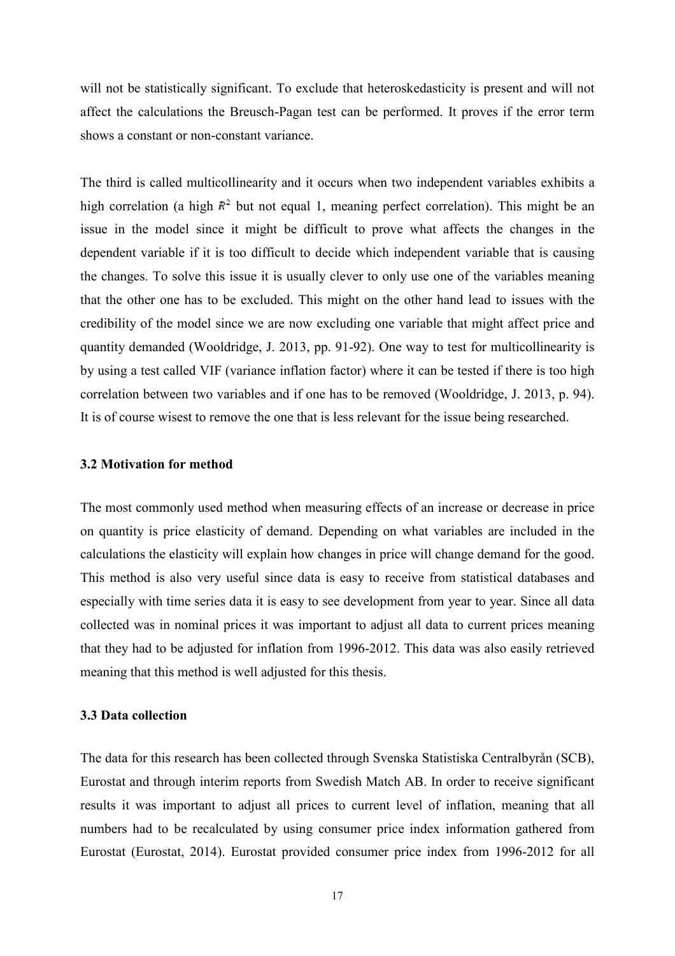will not be statistically significant. To exclude that heteroskedasticity is present and will not affect the calculations the Breusch-Pagan test can be performed. It proves if the error term shows a constant or non-constant variance.

The third is called multicollinearity and it occurs when two independent variables exhibits a high correlation (a high  $\mathbb{R}^2$  but not equal 1, meaning perfect correlation). This might be an issue in the model since it might be difficult to prove what affects the changes in the dependent variable if it is too difficult to decide which independent variable that is causing the changes. To solve this issue it is usually clever to only use one of the variables meaning that the other one has to be excluded. This might on the other hand lead to issues with the credibility of the model since we are now excluding one variable that might affect price and quantity demanded (Wooldridge, J. 2013, pp. 91-92). One way to test for multicollinearity is by using a test called VIF (variance inflation factor) where it can be tested if there is too high correlation between two variables and if one has to be removed (Wooldridge, J. 2013, p. 94). It is of course wisest to remove the one that is less relevant for the issue being researched.

#### **3.2 Motivation for method**

The most commonly used method when measuring effects of an increase or decrease in price on quantity is price elasticity of demand. Depending on what variables are included in the calculations the elasticity will explain how changes in price will change demand for the good. This method is also very useful since data is easy to receive from statistical databases and especially with time series data it is easy to see development from year to year. Since all data collected was in nominal prices it was important to adjust all data to current prices meaning that they had to be adjusted for inflation from 1996-2012. This data was also easily retrieved meaning that this method is well adjusted for this thesis.

#### **3.3 Data collection**

The data for this research has been collected through Svenska Statistiska Centralbyrån (SCB), Eurostat and through interim reports from Swedish Match AB. In order to receive significant results it was important to adjust all prices to current level of inflation, meaning that all numbers had to be recalculated by using consumer price index information gathered from Eurostat (Eurostat, 2014). Eurostat provided consumer price index from 1996-2012 for all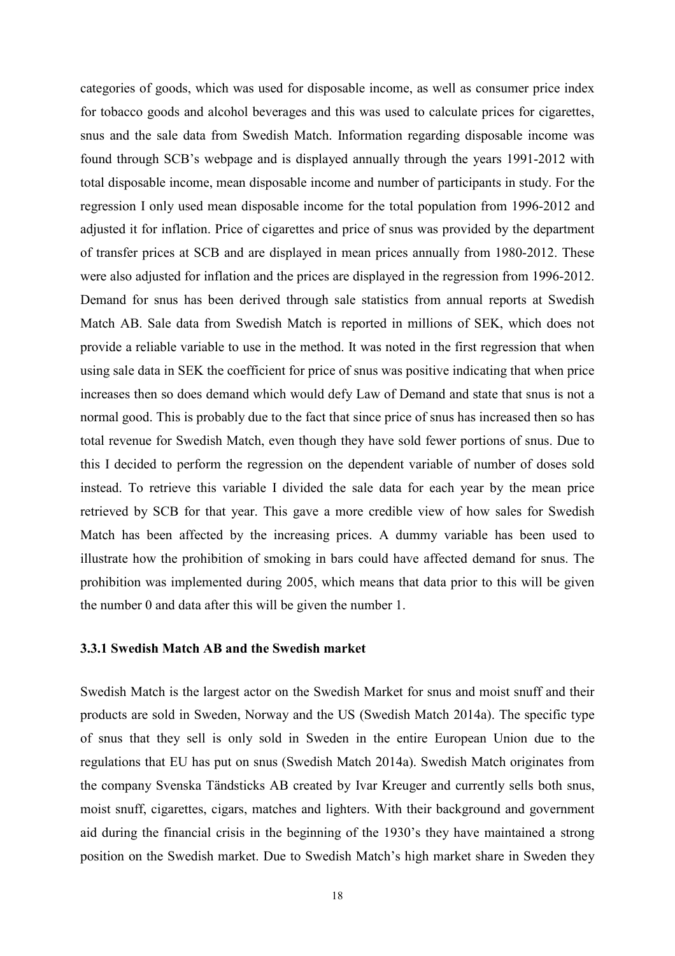categories of goods, which was used for disposable income, as well as consumer price index for tobacco goods and alcohol beverages and this was used to calculate prices for cigarettes, snus and the sale data from Swedish Match. Information regarding disposable income was found through SCB's webpage and is displayed annually through the years 1991-2012 with total disposable income, mean disposable income and number of participants in study. For the regression I only used mean disposable income for the total population from 1996-2012 and adjusted it for inflation. Price of cigarettes and price of snus was provided by the department of transfer prices at SCB and are displayed in mean prices annually from 1980-2012. These were also adjusted for inflation and the prices are displayed in the regression from 1996-2012. Demand for snus has been derived through sale statistics from annual reports at Swedish Match AB. Sale data from Swedish Match is reported in millions of SEK, which does not provide a reliable variable to use in the method. It was noted in the first regression that when using sale data in SEK the coefficient for price of snus was positive indicating that when price increases then so does demand which would defy Law of Demand and state that snus is not a normal good. This is probably due to the fact that since price of snus has increased then so has total revenue for Swedish Match, even though they have sold fewer portions of snus. Due to this I decided to perform the regression on the dependent variable of number of doses sold instead. To retrieve this variable I divided the sale data for each year by the mean price retrieved by SCB for that year. This gave a more credible view of how sales for Swedish Match has been affected by the increasing prices. A dummy variable has been used to illustrate how the prohibition of smoking in bars could have affected demand for snus. The prohibition was implemented during 2005, which means that data prior to this will be given the number 0 and data after this will be given the number 1.

#### **3.3.1 Swedish Match AB and the Swedish market**

Swedish Match is the largest actor on the Swedish Market for snus and moist snuff and their products are sold in Sweden, Norway and the US (Swedish Match 2014a). The specific type of snus that they sell is only sold in Sweden in the entire European Union due to the regulations that EU has put on snus (Swedish Match 2014a). Swedish Match originates from the company Svenska Tändsticks AB created by Ivar Kreuger and currently sells both snus, moist snuff, cigarettes, cigars, matches and lighters. With their background and government aid during the financial crisis in the beginning of the 1930's they have maintained a strong position on the Swedish market. Due to Swedish Match's high market share in Sweden they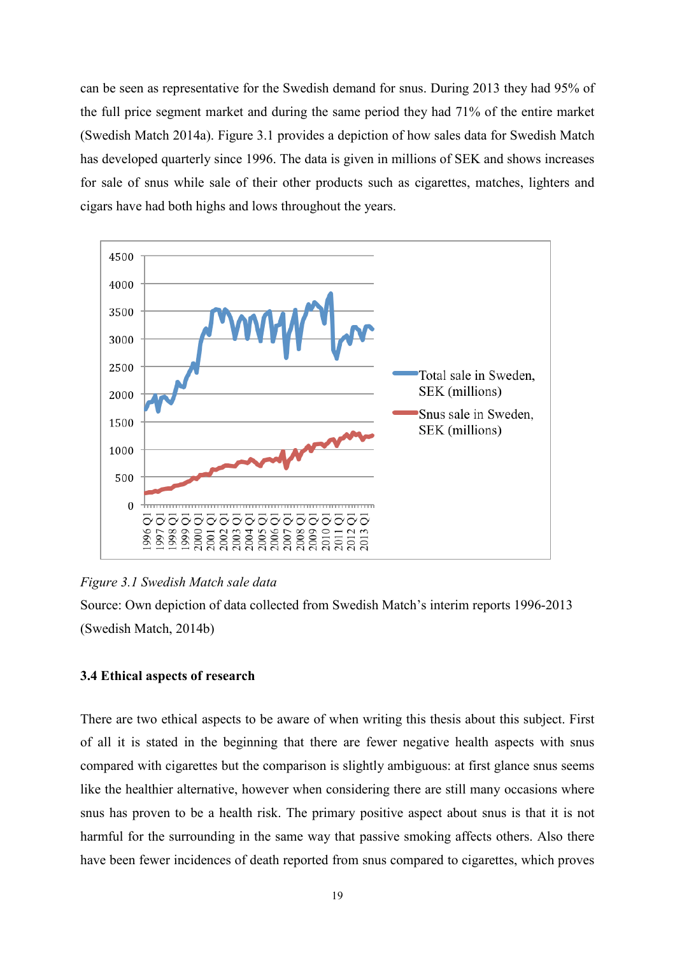can be seen as representative for the Swedish demand for snus. During 2013 they had 95% of the full price segment market and during the same period they had 71% of the entire market (Swedish Match 2014a). Figure 3.1 provides a depiction of how sales data for Swedish Match has developed quarterly since 1996. The data is given in millions of SEK and shows increases for sale of snus while sale of their other products such as cigarettes, matches, lighters and cigars have had both highs and lows throughout the years.



*Figure 3.1 Swedish Match sale data*

Source: Own depiction of data collected from Swedish Match's interim reports 1996-2013 (Swedish Match, 2014b)

## **3.4 Ethical aspects of research**

There are two ethical aspects to be aware of when writing this thesis about this subject. First of all it is stated in the beginning that there are fewer negative health aspects with snus compared with cigarettes but the comparison is slightly ambiguous: at first glance snus seems like the healthier alternative, however when considering there are still many occasions where snus has proven to be a health risk. The primary positive aspect about snus is that it is not harmful for the surrounding in the same way that passive smoking affects others. Also there have been fewer incidences of death reported from snus compared to cigarettes, which proves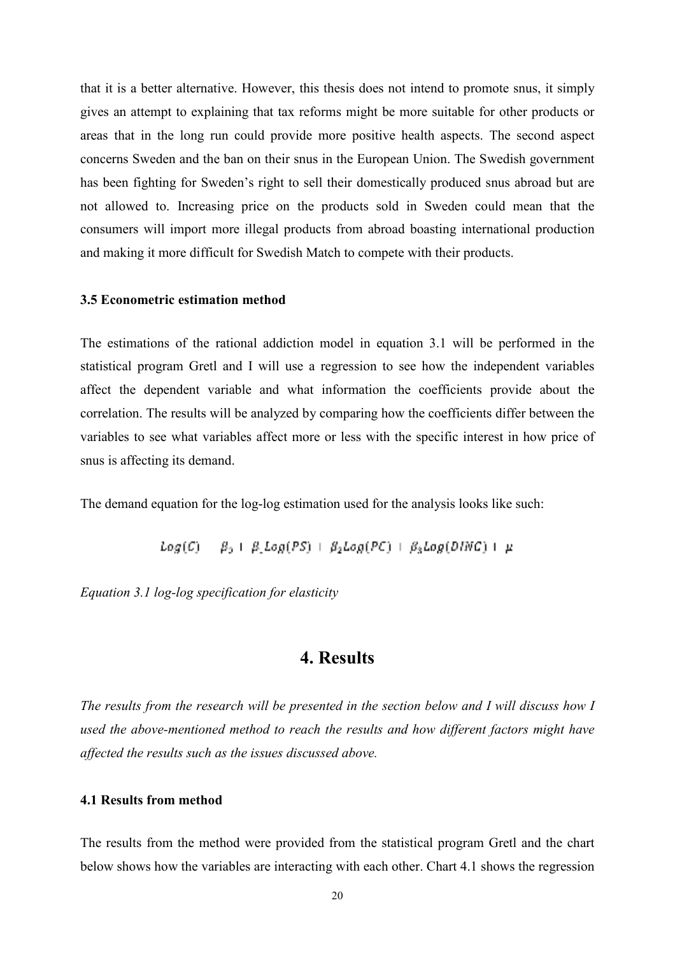that it is a better alternative. However, this thesis does not intend to promote snus, it simply gives an attempt to explaining that tax reforms might be more suitable for other products or areas that in the long run could provide more positive health aspects. The second aspect concerns Sweden and the ban on their snus in the European Union. The Swedish government has been fighting for Sweden's right to sell their domestically produced snus abroad but are not allowed to. Increasing price on the products sold in Sweden could mean that the consumers will import more illegal products from abroad boasting international production and making it more difficult for Swedish Match to compete with their products.

#### **3.5 Econometric estimation method**

The estimations of the rational addiction model in equation 3.1 will be performed in the statistical program Gretl and I will use a regression to see how the independent variables affect the dependent variable and what information the coefficients provide about the correlation. The results will be analyzed by comparing how the coefficients differ between the variables to see what variables affect more or less with the specific interest in how price of snus is affecting its demand.

The demand equation for the log-log estimation used for the analysis looks like such:

$$
Log(C) = \beta_0 + \beta_1 Log(PS) + \beta_2 Log(PC) + \beta_3 Log(DING) + \mu
$$

*Equation 3.1 log-log specification for elasticity*

## **4. Results**

*The results from the research will be presented in the section below and I will discuss how I used the above-mentioned method to reach the results and how different factors might have affected the results such as the issues discussed above.* 

#### **4.1 Results from method**

The results from the method were provided from the statistical program Gretl and the chart below shows how the variables are interacting with each other. Chart 4.1 shows the regression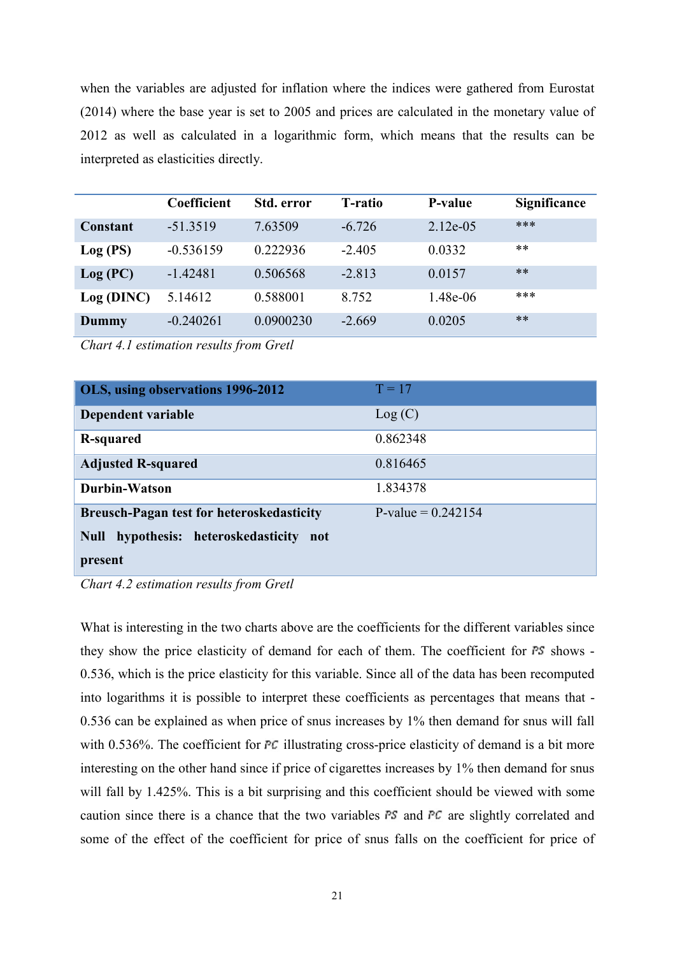when the variables are adjusted for inflation where the indices were gathered from Eurostat (2014) where the base year is set to 2005 and prices are calculated in the monetary value of 2012 as well as calculated in a logarithmic form, which means that the results can be interpreted as elasticities directly.

|            | Coefficient | Std. error | <b>T</b> -ratio | P-value     | <b>Significance</b> |
|------------|-------------|------------|-----------------|-------------|---------------------|
| Constant   | $-51.3519$  | 7.63509    | $-6.726$        | $2.12e-0.5$ | ***                 |
| Log (PS)   | $-0.536159$ | 0.222936   | $-2.405$        | 0.0332      | $***$               |
| Log (PC)   | -1.42481    | 0.506568   | $-2.813$        | 0.0157      | $***$               |
| Log (DINC) | 5.14612     | 0.588001   | 8.752           | 1.48e-06    | ***                 |
| Dummy      | $-0.240261$ | 0.0900230  | $-2.669$        | 0.0205      | $***$               |

*Chart 4.1 estimation results from Gretl*

| OLS, using observations 1996-2012                | $T = 17$             |
|--------------------------------------------------|----------------------|
| Dependent variable                               | Log(C)               |
| R-squared                                        | 0.862348             |
| <b>Adjusted R-squared</b>                        | 0.816465             |
| Durbin-Watson                                    | 1.834378             |
| <b>Breusch-Pagan test for heteroskedasticity</b> | P-value = $0.242154$ |
| Null hypothesis: heteroskedasticity not          |                      |
| present                                          |                      |

*Chart 4.2 estimation results from Gretl*

What is interesting in the two charts above are the coefficients for the different variables since they show the price elasticity of demand for each of them. The coefficient for  $FS$  shows -0.536, which is the price elasticity for this variable. Since all of the data has been recomputed into logarithms it is possible to interpret these coefficients as percentages that means that - 0.536 can be explained as when price of snus increases by 1% then demand for snus will fall with  $0.536\%$ . The coefficient for PC illustrating cross-price elasticity of demand is a bit more interesting on the other hand since if price of cigarettes increases by 1% then demand for snus will fall by 1.425%. This is a bit surprising and this coefficient should be viewed with some caution since there is a chance that the two variables  $FS$  and  $FC$  are slightly correlated and some of the effect of the coefficient for price of snus falls on the coefficient for price of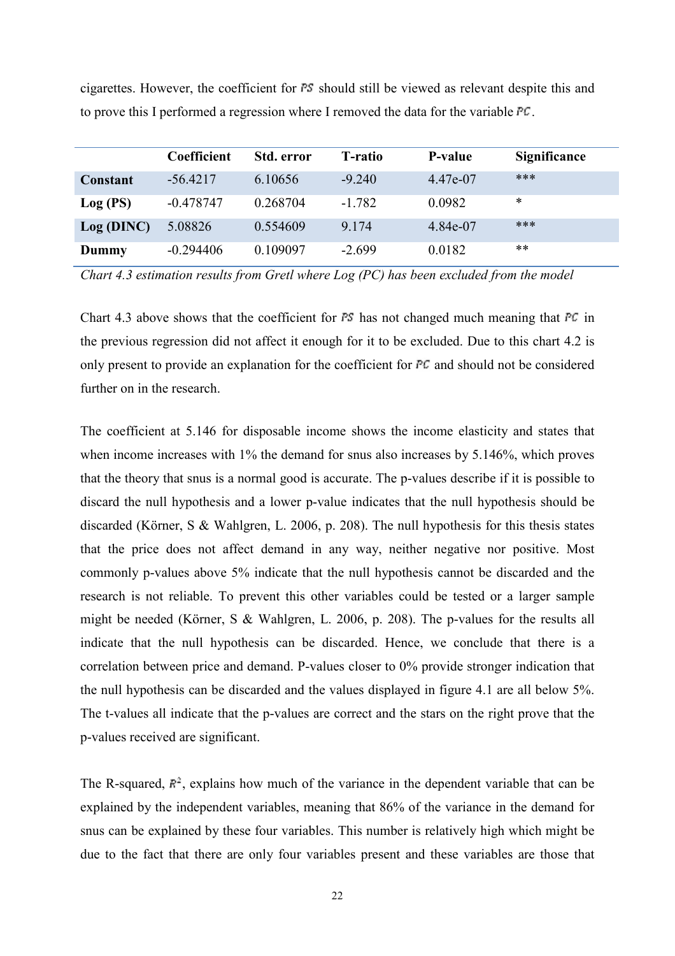|           | Coefficient | <b>Std. error</b> | <b>T</b> -ratio | P-value  | <b>Significance</b> |
|-----------|-------------|-------------------|-----------------|----------|---------------------|
| Constant  | $-56.4217$  | 6.10656           | $-9.240$        | 4.47e-07 | ***                 |
| Log (PS)  | $-0.478747$ | 0.268704          | $-1.782$        | 0.0982   | *                   |
| Log(DINC) | 5.08826     | 0.554609          | 9.174           | 4.84e-07 | ***                 |
| Dummy     | $-0.294406$ | 0.109097          | $-2.699$        | 0.0182   | **                  |

cigarettes. However, the coefficient for  $FS$  should still be viewed as relevant despite this and to prove this I performed a regression where I removed the data for the variable  $FC$ .

*Chart 4.3 estimation results from Gretl where Log (PC) has been excluded from the model*

Chart 4.3 above shows that the coefficient for  $FS$  has not changed much meaning that  $FC$  in the previous regression did not affect it enough for it to be excluded. Due to this chart 4.2 is only present to provide an explanation for the coefficient for  $FC$  and should not be considered further on in the research.

The coefficient at 5.146 for disposable income shows the income elasticity and states that when income increases with 1% the demand for snus also increases by 5.146%, which proves that the theory that snus is a normal good is accurate. The p-values describe if it is possible to discard the null hypothesis and a lower p-value indicates that the null hypothesis should be discarded (Körner, S & Wahlgren, L. 2006, p. 208). The null hypothesis for this thesis states that the price does not affect demand in any way, neither negative nor positive. Most commonly p-values above 5% indicate that the null hypothesis cannot be discarded and the research is not reliable. To prevent this other variables could be tested or a larger sample might be needed (Körner, S & Wahlgren, L. 2006, p. 208). The p-values for the results all indicate that the null hypothesis can be discarded. Hence, we conclude that there is a correlation between price and demand. P-values closer to 0% provide stronger indication that the null hypothesis can be discarded and the values displayed in figure 4.1 are all below 5%. The t-values all indicate that the p-values are correct and the stars on the right prove that the p-values received are significant.

The R-squared,  $F^2$ , explains how much of the variance in the dependent variable that can be explained by the independent variables, meaning that 86% of the variance in the demand for snus can be explained by these four variables. This number is relatively high which might be due to the fact that there are only four variables present and these variables are those that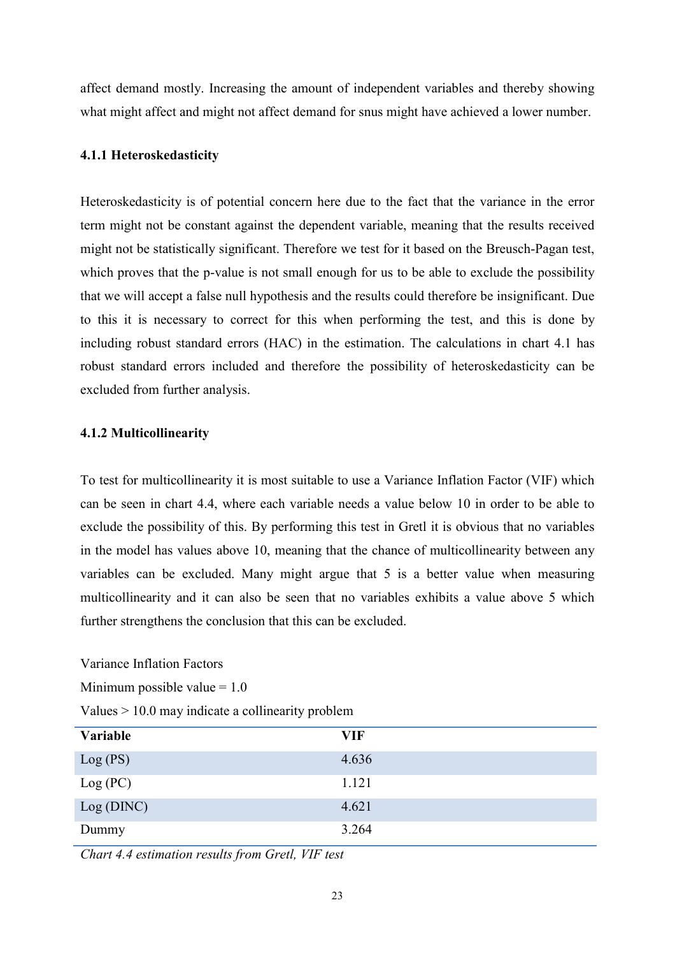affect demand mostly. Increasing the amount of independent variables and thereby showing what might affect and might not affect demand for snus might have achieved a lower number.

## **4.1.1 Heteroskedasticity**

Heteroskedasticity is of potential concern here due to the fact that the variance in the error term might not be constant against the dependent variable, meaning that the results received might not be statistically significant. Therefore we test for it based on the Breusch-Pagan test, which proves that the p-value is not small enough for us to be able to exclude the possibility that we will accept a false null hypothesis and the results could therefore be insignificant. Due to this it is necessary to correct for this when performing the test, and this is done by including robust standard errors (HAC) in the estimation. The calculations in chart 4.1 has robust standard errors included and therefore the possibility of heteroskedasticity can be excluded from further analysis.

### **4.1.2 Multicollinearity**

To test for multicollinearity it is most suitable to use a Variance Inflation Factor (VIF) which can be seen in chart 4.4, where each variable needs a value below 10 in order to be able to exclude the possibility of this. By performing this test in Gretl it is obvious that no variables in the model has values above 10, meaning that the chance of multicollinearity between any variables can be excluded. Many might argue that 5 is a better value when measuring multicollinearity and it can also be seen that no variables exhibits a value above 5 which further strengthens the conclusion that this can be excluded.

Variance Inflation Factors

Minimum possible value  $= 1.0$ 

Values > 10.0 may indicate a collinearity problem

| Variable  | <b>VIF</b> |
|-----------|------------|
| Log (PS)  | 4.636      |
| Log (PC)  | 1.121      |
| Log(DINC) | 4.621      |
| Dummy     | 3.264      |

*Chart 4.4 estimation results from Gretl, VIF test*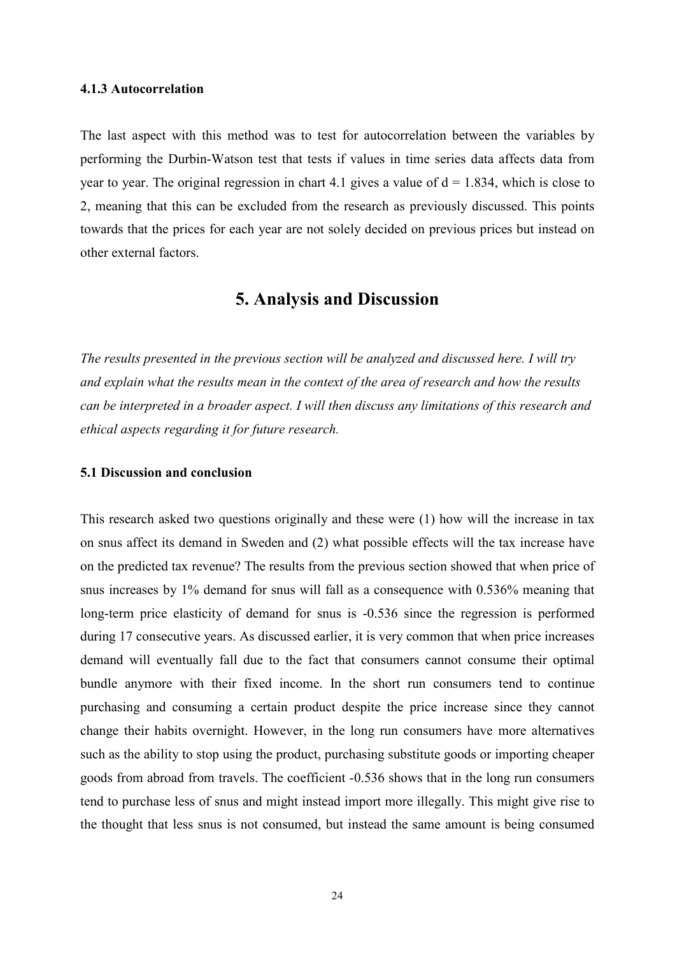#### **4.1.3 Autocorrelation**

The last aspect with this method was to test for autocorrelation between the variables by performing the Durbin-Watson test that tests if values in time series data affects data from year to year. The original regression in chart 4.1 gives a value of  $d = 1.834$ , which is close to 2, meaning that this can be excluded from the research as previously discussed. This points towards that the prices for each year are not solely decided on previous prices but instead on other external factors.

# **5. Analysis and Discussion**

*The results presented in the previous section will be analyzed and discussed here. I will try and explain what the results mean in the context of the area of research and how the results can be interpreted in a broader aspect. I will then discuss any limitations of this research and ethical aspects regarding it for future research.* 

#### **5.1 Discussion and conclusion**

This research asked two questions originally and these were (1) how will the increase in tax on snus affect its demand in Sweden and (2) what possible effects will the tax increase have on the predicted tax revenue? The results from the previous section showed that when price of snus increases by 1% demand for snus will fall as a consequence with 0.536% meaning that long-term price elasticity of demand for snus is -0.536 since the regression is performed during 17 consecutive years. As discussed earlier, it is very common that when price increases demand will eventually fall due to the fact that consumers cannot consume their optimal bundle anymore with their fixed income. In the short run consumers tend to continue purchasing and consuming a certain product despite the price increase since they cannot change their habits overnight. However, in the long run consumers have more alternatives such as the ability to stop using the product, purchasing substitute goods or importing cheaper goods from abroad from travels. The coefficient -0.536 shows that in the long run consumers tend to purchase less of snus and might instead import more illegally. This might give rise to the thought that less snus is not consumed, but instead the same amount is being consumed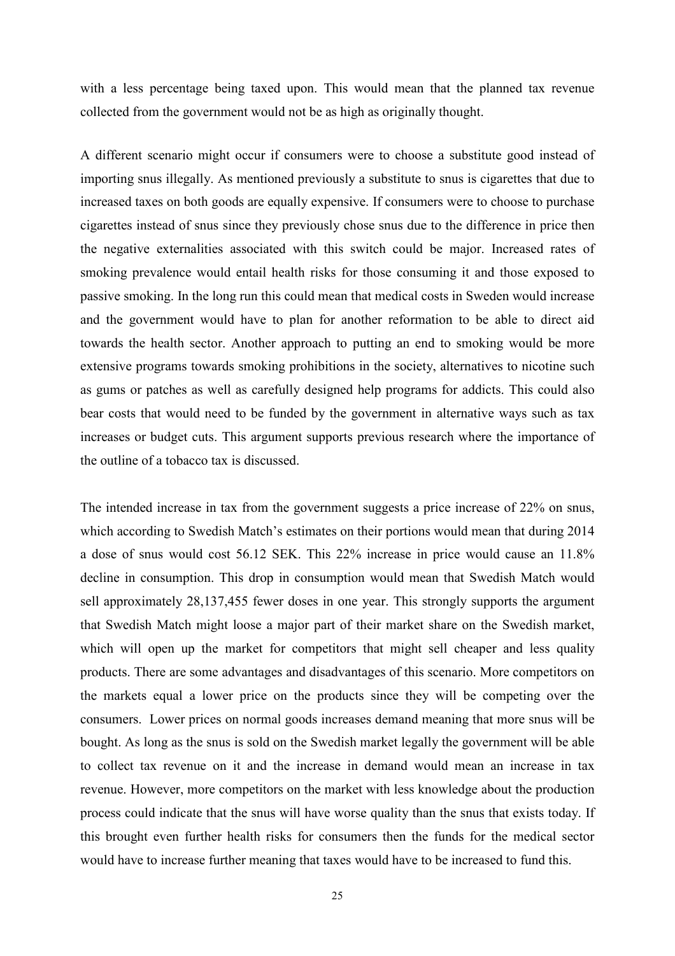with a less percentage being taxed upon. This would mean that the planned tax revenue collected from the government would not be as high as originally thought.

A different scenario might occur if consumers were to choose a substitute good instead of importing snus illegally. As mentioned previously a substitute to snus is cigarettes that due to increased taxes on both goods are equally expensive. If consumers were to choose to purchase cigarettes instead of snus since they previously chose snus due to the difference in price then the negative externalities associated with this switch could be major. Increased rates of smoking prevalence would entail health risks for those consuming it and those exposed to passive smoking. In the long run this could mean that medical costs in Sweden would increase and the government would have to plan for another reformation to be able to direct aid towards the health sector. Another approach to putting an end to smoking would be more extensive programs towards smoking prohibitions in the society, alternatives to nicotine such as gums or patches as well as carefully designed help programs for addicts. This could also bear costs that would need to be funded by the government in alternative ways such as tax increases or budget cuts. This argument supports previous research where the importance of the outline of a tobacco tax is discussed.

The intended increase in tax from the government suggests a price increase of 22% on snus, which according to Swedish Match's estimates on their portions would mean that during 2014 a dose of snus would cost 56.12 SEK. This 22% increase in price would cause an 11.8% decline in consumption. This drop in consumption would mean that Swedish Match would sell approximately 28,137,455 fewer doses in one year. This strongly supports the argument that Swedish Match might loose a major part of their market share on the Swedish market, which will open up the market for competitors that might sell cheaper and less quality products. There are some advantages and disadvantages of this scenario. More competitors on the markets equal a lower price on the products since they will be competing over the consumers. Lower prices on normal goods increases demand meaning that more snus will be bought. As long as the snus is sold on the Swedish market legally the government will be able to collect tax revenue on it and the increase in demand would mean an increase in tax revenue. However, more competitors on the market with less knowledge about the production process could indicate that the snus will have worse quality than the snus that exists today. If this brought even further health risks for consumers then the funds for the medical sector would have to increase further meaning that taxes would have to be increased to fund this.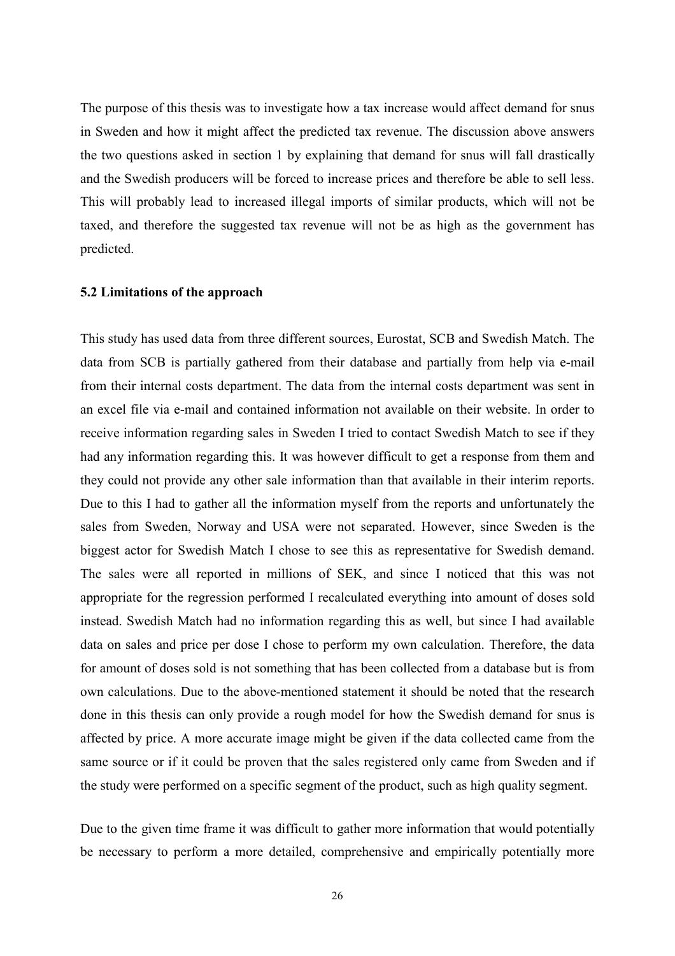The purpose of this thesis was to investigate how a tax increase would affect demand for snus in Sweden and how it might affect the predicted tax revenue. The discussion above answers the two questions asked in section 1 by explaining that demand for snus will fall drastically and the Swedish producers will be forced to increase prices and therefore be able to sell less. This will probably lead to increased illegal imports of similar products, which will not be taxed, and therefore the suggested tax revenue will not be as high as the government has predicted.

#### **5.2 Limitations of the approach**

This study has used data from three different sources, Eurostat, SCB and Swedish Match. The data from SCB is partially gathered from their database and partially from help via e-mail from their internal costs department. The data from the internal costs department was sent in an excel file via e-mail and contained information not available on their website. In order to receive information regarding sales in Sweden I tried to contact Swedish Match to see if they had any information regarding this. It was however difficult to get a response from them and they could not provide any other sale information than that available in their interim reports. Due to this I had to gather all the information myself from the reports and unfortunately the sales from Sweden, Norway and USA were not separated. However, since Sweden is the biggest actor for Swedish Match I chose to see this as representative for Swedish demand. The sales were all reported in millions of SEK, and since I noticed that this was not appropriate for the regression performed I recalculated everything into amount of doses sold instead. Swedish Match had no information regarding this as well, but since I had available data on sales and price per dose I chose to perform my own calculation. Therefore, the data for amount of doses sold is not something that has been collected from a database but is from own calculations. Due to the above-mentioned statement it should be noted that the research done in this thesis can only provide a rough model for how the Swedish demand for snus is affected by price. A more accurate image might be given if the data collected came from the same source or if it could be proven that the sales registered only came from Sweden and if the study were performed on a specific segment of the product, such as high quality segment.

Due to the given time frame it was difficult to gather more information that would potentially be necessary to perform a more detailed, comprehensive and empirically potentially more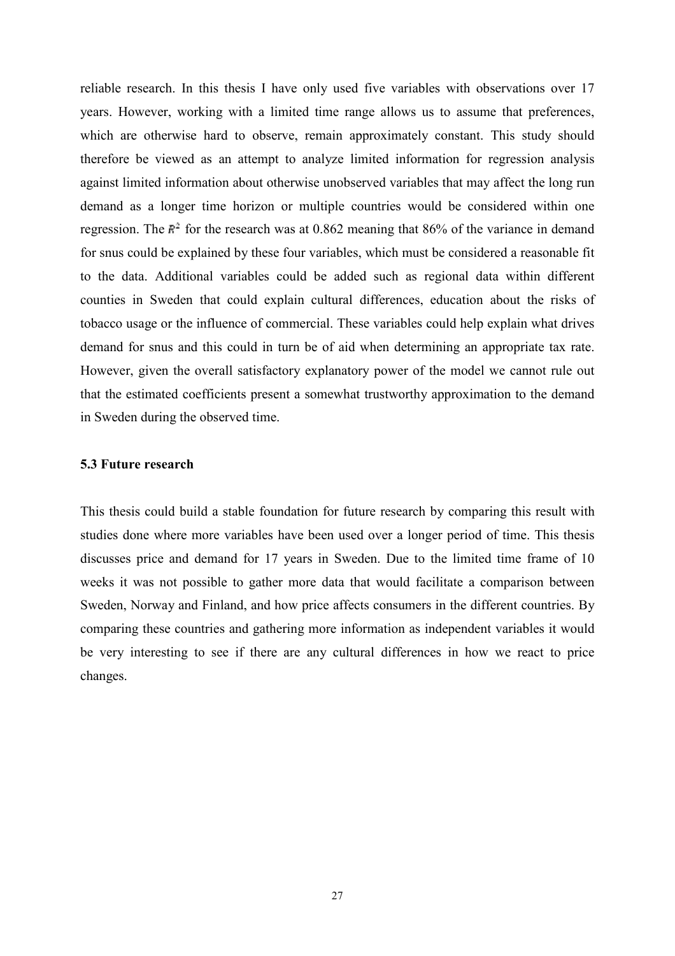reliable research. In this thesis I have only used five variables with observations over 17 years. However, working with a limited time range allows us to assume that preferences, which are otherwise hard to observe, remain approximately constant. This study should therefore be viewed as an attempt to analyze limited information for regression analysis against limited information about otherwise unobserved variables that may affect the long run demand as a longer time horizon or multiple countries would be considered within one regression. The  $F<sup>2</sup>$  for the research was at 0.862 meaning that 86% of the variance in demand for snus could be explained by these four variables, which must be considered a reasonable fit to the data. Additional variables could be added such as regional data within different counties in Sweden that could explain cultural differences, education about the risks of tobacco usage or the influence of commercial. These variables could help explain what drives demand for snus and this could in turn be of aid when determining an appropriate tax rate. However, given the overall satisfactory explanatory power of the model we cannot rule out that the estimated coefficients present a somewhat trustworthy approximation to the demand in Sweden during the observed time.

#### **5.3 Future research**

This thesis could build a stable foundation for future research by comparing this result with studies done where more variables have been used over a longer period of time. This thesis discusses price and demand for 17 years in Sweden. Due to the limited time frame of 10 weeks it was not possible to gather more data that would facilitate a comparison between Sweden, Norway and Finland, and how price affects consumers in the different countries. By comparing these countries and gathering more information as independent variables it would be very interesting to see if there are any cultural differences in how we react to price changes.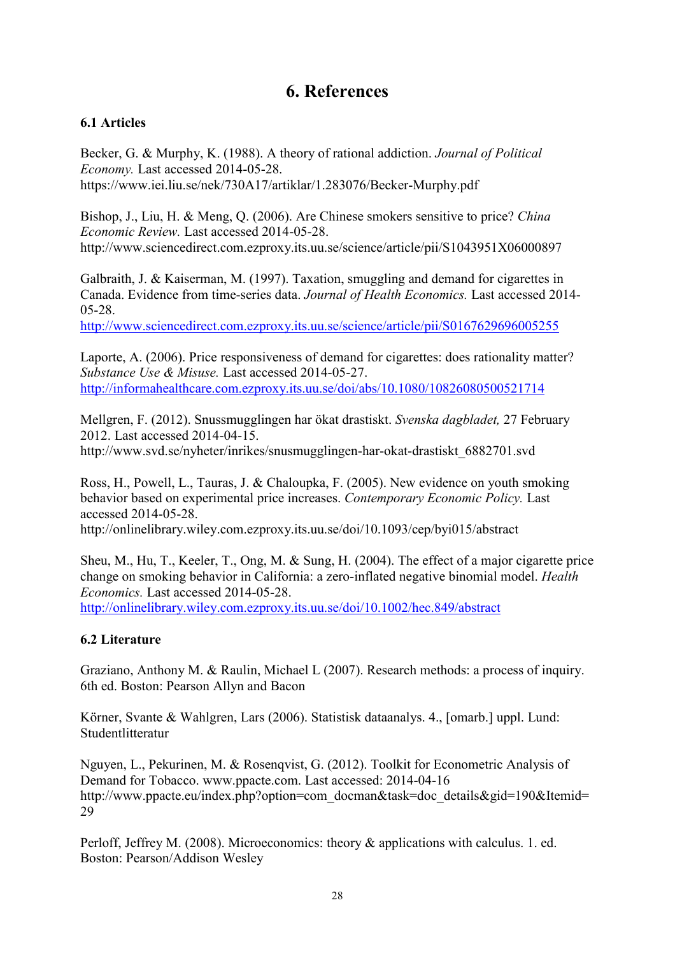# **6. References**

## **6.1 Articles**

Becker, G. & Murphy, K. (1988). A theory of rational addiction. *Journal of Political Economy.* Last accessed 2014-05-28. https://www.iei.liu.se/nek/730A17/artiklar/1.283076/Becker-Murphy.pdf

Bishop, J., Liu, H. & Meng, Q. (2006). Are Chinese smokers sensitive to price? *China Economic Review.* Last accessed 2014-05-28. http://www.sciencedirect.com.ezproxy.its.uu.se/science/article/pii/S1043951X06000897

Galbraith, J. & Kaiserman, M. (1997). Taxation, smuggling and demand for cigarettes in Canada. Evidence from time-series data. *Journal of Health Economics.* Last accessed 2014- 05-28.

<http://www.sciencedirect.com.ezproxy.its.uu.se/science/article/pii/S0167629696005255>

Laporte, A. (2006). Price responsiveness of demand for cigarettes: does rationality matter? *Substance Use & Misuse.* Last accessed 2014-05-27. <http://informahealthcare.com.ezproxy.its.uu.se/doi/abs/10.1080/10826080500521714>

Mellgren, F. (2012). Snussmugglingen har ökat drastiskt. *Svenska dagbladet,* 27 February 2012. Last accessed 2014-04-15. http://www.svd.se/nyheter/inrikes/snusmugglingen-har-okat-drastiskt\_6882701.svd

Ross, H., Powell, L., Tauras, J. & Chaloupka, F. (2005). New evidence on youth smoking behavior based on experimental price increases. *Contemporary Economic Policy.* Last accessed 2014-05-28.

http://onlinelibrary.wiley.com.ezproxy.its.uu.se/doi/10.1093/cep/byi015/abstract

Sheu, M., Hu, T., Keeler, T., Ong, M. & Sung, H. (2004). The effect of a major cigarette price change on smoking behavior in California: a zero-inflated negative binomial model. *Health Economics.* Last accessed 2014-05-28. <http://onlinelibrary.wiley.com.ezproxy.its.uu.se/doi/10.1002/hec.849/abstract>

## **6.2 Literature**

Graziano, Anthony M. & Raulin, Michael L (2007). Research methods: a process of inquiry. 6th ed. Boston: Pearson Allyn and Bacon

Körner, Svante & Wahlgren, Lars (2006). Statistisk dataanalys. 4., [omarb.] uppl. Lund: Studentlitteratur

Nguyen, L., Pekurinen, M. & Rosenqvist, G. (2012). Toolkit for Econometric Analysis of Demand for Tobacco. www.ppacte.com. Last accessed: 2014-04-16 http://www.ppacte.eu/index.php?option=com\_docman&task=doc\_details&gid=190&Itemid= 29

Perloff, Jeffrey M. (2008). Microeconomics: theory & applications with calculus. 1. ed. Boston: Pearson/Addison Wesley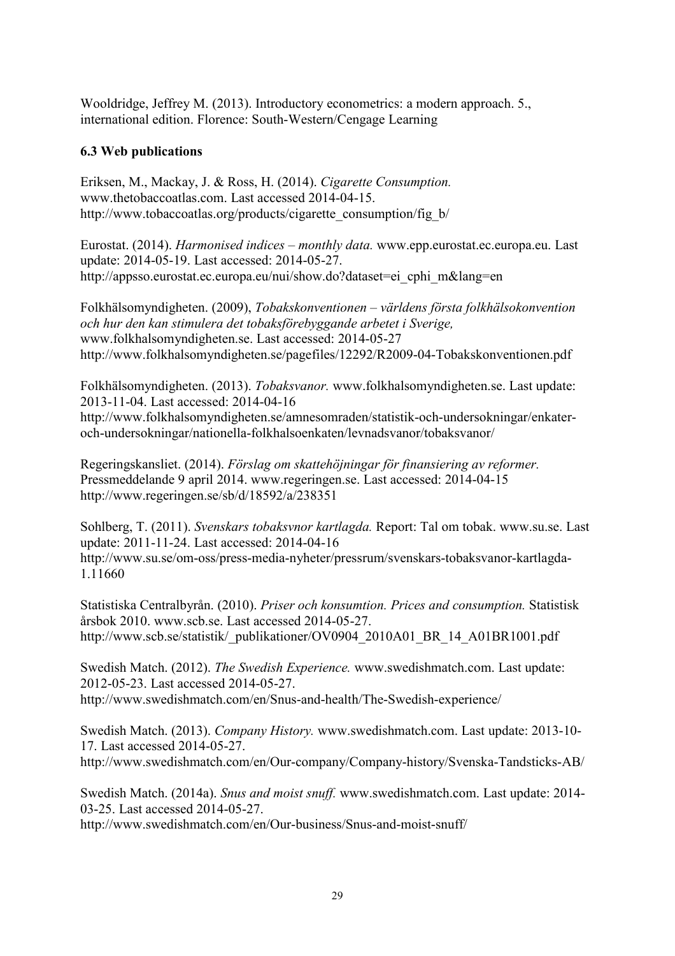Wooldridge, Jeffrey M. (2013). Introductory econometrics: a modern approach. 5., international edition. Florence: South-Western/Cengage Learning

## **6.3 Web publications**

Eriksen, M., Mackay, J. & Ross, H. (2014). *Cigarette Consumption.*  www.thetobaccoatlas.com. Last accessed 2014-04-15. http://www.tobaccoatlas.org/products/cigarette\_consumption/fig\_b/

Eurostat. (2014). *Harmonised indices – monthly data.* www.epp.eurostat.ec.europa.eu. Last update: 2014-05-19. Last accessed: 2014-05-27. http://appsso.eurostat.ec.europa.eu/nui/show.do?dataset=ei\_cphi\_m&lang=en

Folkhälsomyndigheten. (2009), *Tobakskonventionen – världens första folkhälsokonvention och hur den kan stimulera det tobaksförebyggande arbetet i Sverige,*  www.folkhalsomyndigheten.se. Last accessed: 2014-05-27 http://www.folkhalsomyndigheten.se/pagefiles/12292/R2009-04-Tobakskonventionen.pdf

Folkhälsomyndigheten. (2013). *Tobaksvanor.* www.folkhalsomyndigheten.se. Last update: 2013-11-04. Last accessed: 2014-04-16 http://www.folkhalsomyndigheten.se/amnesomraden/statistik-och-undersokningar/enkateroch-undersokningar/nationella-folkhalsoenkaten/levnadsvanor/tobaksvanor/

Regeringskansliet. (2014). *Förslag om skattehöjningar för finansiering av reformer.*  Pressmeddelande 9 april 2014. www.regeringen.se. Last accessed: 2014-04-15 http://www.regeringen.se/sb/d/18592/a/238351

Sohlberg, T. (2011). *Svenskars tobaksvnor kartlagda.* Report: Tal om tobak. www.su.se. Last update: 2011-11-24. Last accessed: 2014-04-16 http://www.su.se/om-oss/press-media-nyheter/pressrum/svenskars-tobaksvanor-kartlagda-1.11660

Statistiska Centralbyrån. (2010). *Priser och konsumtion. Prices and consumption.* Statistisk årsbok 2010. www.scb.se. Last accessed 2014-05-27. http://www.scb.se/statistik/\_publikationer/OV0904\_2010A01\_BR\_14\_A01BR1001.pdf

Swedish Match. (2012). *The Swedish Experience.* www.swedishmatch.com. Last update: 2012-05-23. Last accessed 2014-05-27. http://www.swedishmatch.com/en/Snus-and-health/The-Swedish-experience/

Swedish Match. (2013). *Company History.* www.swedishmatch.com. Last update: 2013-10- 17. Last accessed 2014-05-27. http://www.swedishmatch.com/en/Our-company/Company-history/Svenska-Tandsticks-AB/

Swedish Match. (2014a). *Snus and moist snuff.* www.swedishmatch.com. Last update: 2014- 03-25. Last accessed 2014-05-27.

http://www.swedishmatch.com/en/Our-business/Snus-and-moist-snuff/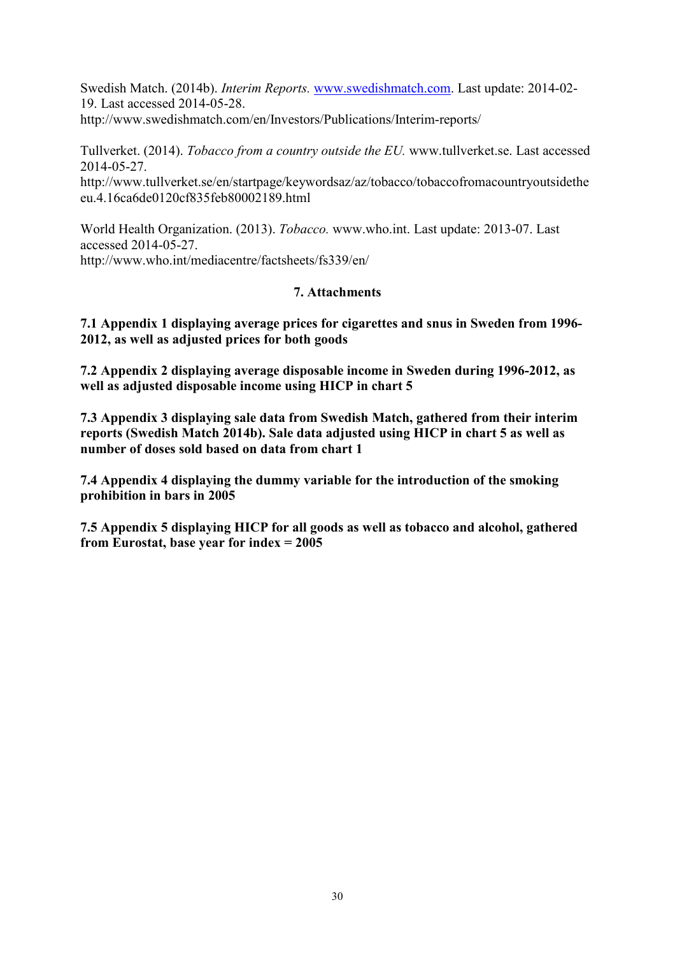Swedish Match. (2014b). *Interim Reports.* [www.swedishmatch.com.](http://www.swedishmatch.com/) Last update: 2014-02- 19. Last accessed 2014-05-28.

http://www.swedishmatch.com/en/Investors/Publications/Interim-reports/

Tullverket. (2014). *Tobacco from a country outside the EU.* www.tullverket.se. Last accessed 2014-05-27.

http://www.tullverket.se/en/startpage/keywordsaz/az/tobacco/tobaccofromacountryoutsidethe eu.4.16ca6de0120cf835feb80002189.html

World Health Organization. (2013). *Tobacco.* www.who.int. Last update: 2013-07. Last accessed 2014-05-27. http://www.who.int/mediacentre/factsheets/fs339/en/

### **7. Attachments**

**7.1 Appendix 1 displaying average prices for cigarettes and snus in Sweden from 1996- 2012, as well as adjusted prices for both goods**

**7.2 Appendix 2 displaying average disposable income in Sweden during 1996-2012, as well as adjusted disposable income using HICP in chart 5**

**7.3 Appendix 3 displaying sale data from Swedish Match, gathered from their interim reports (Swedish Match 2014b). Sale data adjusted using HICP in chart 5 as well as number of doses sold based on data from chart 1**

**7.4 Appendix 4 displaying the dummy variable for the introduction of the smoking prohibition in bars in 2005**

**7.5 Appendix 5 displaying HICP for all goods as well as tobacco and alcohol, gathered from Eurostat, base year for index = 2005**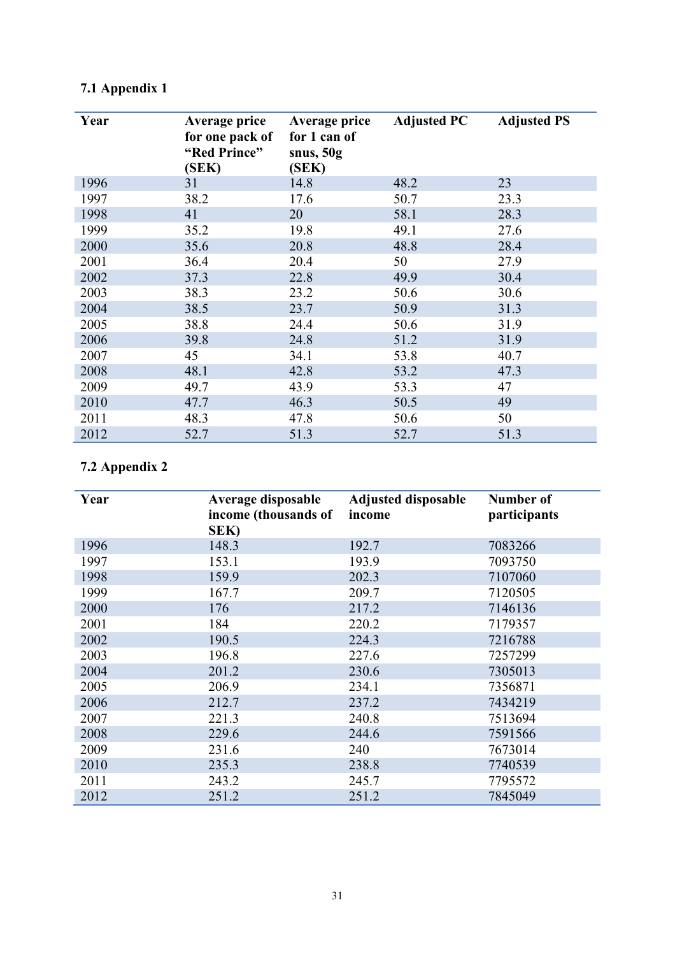| Year | Average price<br>for one pack of<br>"Red Prince"<br>(SEK) | Average price<br>for 1 can of<br>snus, $50g$<br>(SEK) | <b>Adjusted PC</b> | <b>Adjusted PS</b> |
|------|-----------------------------------------------------------|-------------------------------------------------------|--------------------|--------------------|
| 1996 | 31                                                        | 14.8                                                  | 48.2               | 23                 |
| 1997 | 38.2                                                      | 17.6                                                  | 50.7               | 23.3               |
| 1998 | 41                                                        | 20                                                    | 58.1               | 28.3               |
| 1999 | 35.2                                                      | 19.8                                                  | 49.1               | 27.6               |
| 2000 | 35.6                                                      | 20.8                                                  | 48.8               | 28.4               |
| 2001 | 36.4                                                      | 20.4                                                  | 50                 | 27.9               |
| 2002 | 37.3                                                      | 22.8                                                  | 49.9               | 30.4               |
| 2003 | 38.3                                                      | 23.2                                                  | 50.6               | 30.6               |
| 2004 | 38.5                                                      | 23.7                                                  | 50.9               | 31.3               |
| 2005 | 38.8                                                      | 24.4                                                  | 50.6               | 31.9               |
| 2006 | 39.8                                                      | 24.8                                                  | 51.2               | 31.9               |
| 2007 | 45                                                        | 34.1                                                  | 53.8               | 40.7               |
| 2008 | 48.1                                                      | 42.8                                                  | 53.2               | 47.3               |
| 2009 | 49.7                                                      | 43.9                                                  | 53.3               | 47                 |
| 2010 | 47.7                                                      | 46.3                                                  | 50.5               | 49                 |
| 2011 | 48.3                                                      | 47.8                                                  | 50.6               | 50                 |
| 2012 | 52.7                                                      | 51.3                                                  | 52.7               | 51.3               |

# **7.1 Appendix 1**

# **7.2 Appendix 2**

| Year | Average disposable<br>income (thousands of<br>SEK) | <b>Adjusted disposable</b><br>income | Number of<br>participants |
|------|----------------------------------------------------|--------------------------------------|---------------------------|
| 1996 | 148.3                                              | 192.7                                | 7083266                   |
| 1997 | 153.1                                              | 193.9                                | 7093750                   |
| 1998 | 159.9                                              | 202.3                                | 7107060                   |
| 1999 | 167.7                                              | 209.7                                | 7120505                   |
| 2000 | 176                                                | 217.2                                | 7146136                   |
| 2001 | 184                                                | 220.2                                | 7179357                   |
| 2002 | 190.5                                              | 224.3                                | 7216788                   |
| 2003 | 196.8                                              | 227.6                                | 7257299                   |
| 2004 | 201.2                                              | 230.6                                | 7305013                   |
| 2005 | 206.9                                              | 234.1                                | 7356871                   |
| 2006 | 212.7                                              | 237.2                                | 7434219                   |
| 2007 | 221.3                                              | 240.8                                | 7513694                   |
| 2008 | 229.6                                              | 244.6                                | 7591566                   |
| 2009 | 231.6                                              | 240                                  | 7673014                   |
| 2010 | 235.3                                              | 238.8                                | 7740539                   |
| 2011 | 243.2                                              | 245.7                                | 7795572                   |
| 2012 | 251.2                                              | 251.2                                | 7845049                   |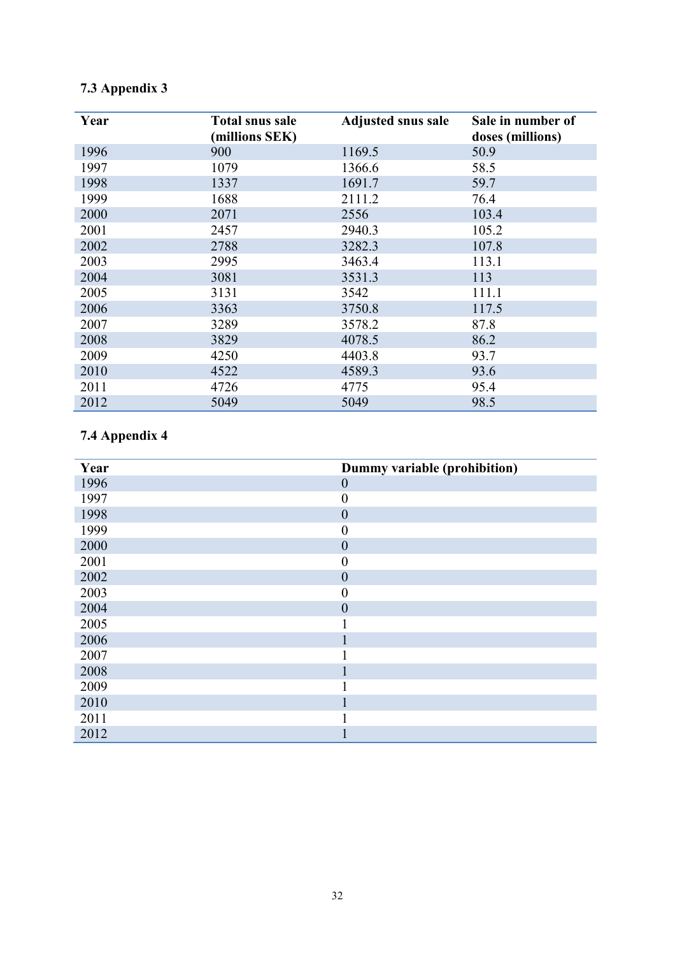# **7.3 Appendix 3**

| Year | <b>Total snus sale</b><br>(millions SEK) | <b>Adjusted snus sale</b> | Sale in number of<br>doses (millions) |
|------|------------------------------------------|---------------------------|---------------------------------------|
| 1996 | 900                                      | 1169.5                    | 50.9                                  |
| 1997 | 1079                                     | 1366.6                    | 58.5                                  |
| 1998 | 1337                                     | 1691.7                    | 59.7                                  |
| 1999 | 1688                                     | 2111.2                    | 76.4                                  |
| 2000 | 2071                                     | 2556                      | 103.4                                 |
| 2001 | 2457                                     | 2940.3                    | 105.2                                 |
| 2002 | 2788                                     | 3282.3                    | 107.8                                 |
| 2003 | 2995                                     | 3463.4                    | 113.1                                 |
| 2004 | 3081                                     | 3531.3                    | 113                                   |
| 2005 | 3131                                     | 3542                      | 111.1                                 |
| 2006 | 3363                                     | 3750.8                    | 117.5                                 |
| 2007 | 3289                                     | 3578.2                    | 87.8                                  |
| 2008 | 3829                                     | 4078.5                    | 86.2                                  |
| 2009 | 4250                                     | 4403.8                    | 93.7                                  |
| 2010 | 4522                                     | 4589.3                    | 93.6                                  |
| 2011 | 4726                                     | 4775                      | 95.4                                  |
| 2012 | 5049                                     | 5049                      | 98.5                                  |

# **7.4 Appendix 4**

| Year | Dummy variable (prohibition) |
|------|------------------------------|
| 1996 | $\boldsymbol{0}$             |
| 1997 | $\boldsymbol{0}$             |
| 1998 | $\boldsymbol{0}$             |
| 1999 | $\boldsymbol{0}$             |
| 2000 | $\boldsymbol{0}$             |
| 2001 | $\overline{0}$               |
| 2002 | $\boldsymbol{0}$             |
| 2003 | $\boldsymbol{0}$             |
| 2004 | $\boldsymbol{0}$             |
| 2005 | 1                            |
| 2006 | 1                            |
| 2007 | 1<br>ı                       |
| 2008 | $\mathbf{1}$                 |
| 2009 | 1                            |
| 2010 | 1                            |
| 2011 |                              |
| 2012 |                              |